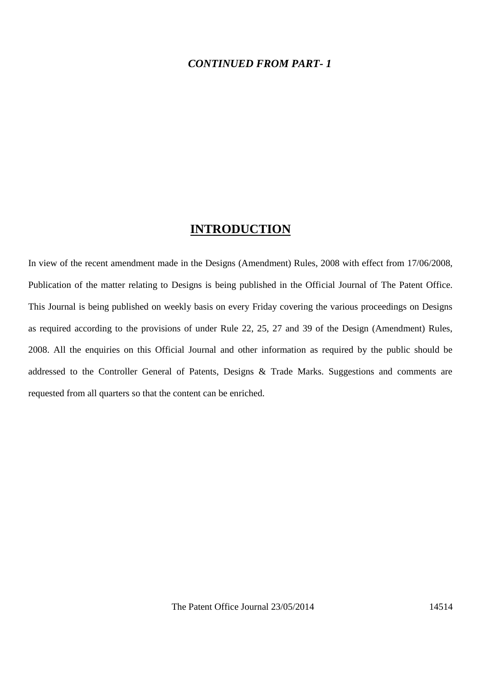#### *CONTINUED FROM PART- 1*

#### **INTRODUCTION**

In view of the recent amendment made in the Designs (Amendment) Rules, 2008 with effect from 17/06/2008, Publication of the matter relating to Designs is being published in the Official Journal of The Patent Office. This Journal is being published on weekly basis on every Friday covering the various proceedings on Designs as required according to the provisions of under Rule 22, 25, 27 and 39 of the Design (Amendment) Rules, 2008. All the enquiries on this Official Journal and other information as required by the public should be addressed to the Controller General of Patents, Designs & Trade Marks. Suggestions and comments are requested from all quarters so that the content can be enriched.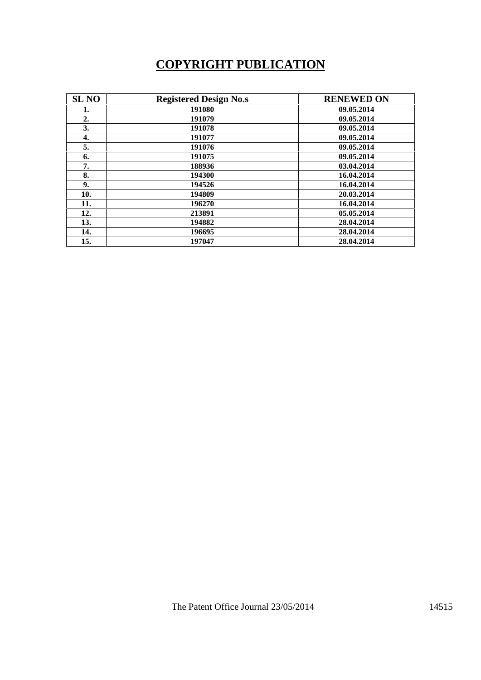# **COPYRIGHT PUBLICATION**

| <b>SL NO</b> | <b>Registered Design No.s</b> | <b>RENEWED ON</b> |
|--------------|-------------------------------|-------------------|
| 1.           | 191080                        | 09.05.2014        |
| 2.           | 191079                        | 09.05.2014        |
| 3.           | 191078                        | 09.05.2014        |
| 4.           | 191077                        | 09.05.2014        |
| 5.           | 191076                        | 09.05.2014        |
| 6.           | 191075                        | 09.05.2014        |
| 7.           | 188936                        | 03.04.2014        |
| 8.           | 194300                        | 16.04.2014        |
| 9.           | 194526                        | 16.04.2014        |
| 10.          | 194809                        | 20.03.2014        |
| 11.          | 196270                        | 16.04.2014        |
| 12.          | 213891                        | 05.05.2014        |
| 13.          | 194882                        | 28.04.2014        |
| 14.          | 196695                        | 28.04.2014        |
| 15.          | 197047                        | 28.04.2014        |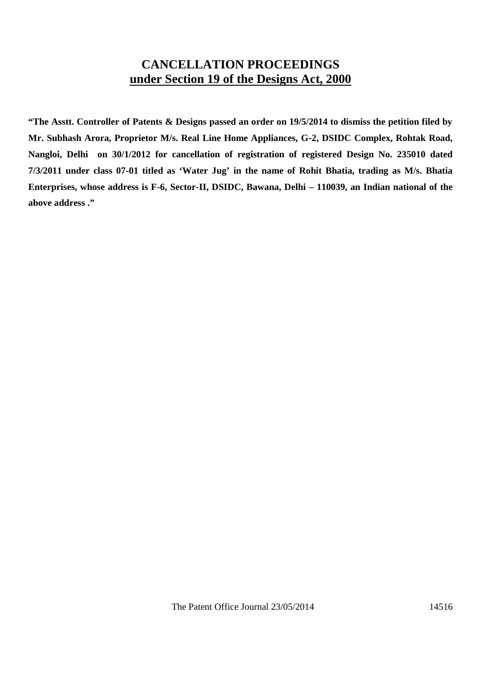## **CANCELLATION PROCEEDINGS under Section 19 of the Designs Act, 2000**

**"The Asstt. Controller of Patents & Designs passed an order on 19/5/2014 to dismiss the petition filed by Mr. Subhash Arora, Proprietor M/s. Real Line Home Appliances, G-2, DSIDC Complex, Rohtak Road, Nangloi, Delhi on 30/1/2012 for cancellation of registration of registered Design No. 235010 dated 7/3/2011 under class 07-01 titled as 'Water Jug' in the name of Rohit Bhatia, trading as M/s. Bhatia Enterprises, whose address is F-6, Sector-II, DSIDC, Bawana, Delhi – 110039, an Indian national of the above address ."**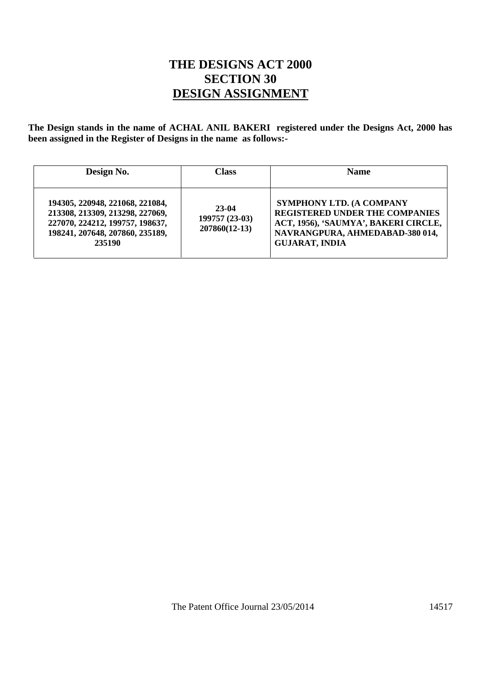## **THE DESIGNS ACT 2000 SECTION 30 DESIGN ASSIGNMENT**

**The Design stands in the name of ACHAL ANIL BAKERI registered under the Designs Act, 2000 has been assigned in the Register of Designs in the name as follows:-**

| Design No.                                                                                                                                         | <b>Class</b>                               | <b>Name</b>                                                                                                                                                                  |
|----------------------------------------------------------------------------------------------------------------------------------------------------|--------------------------------------------|------------------------------------------------------------------------------------------------------------------------------------------------------------------------------|
| 194305, 220948, 221068, 221084,<br>213308, 213309, 213298, 227069,<br>227070, 224212, 199757, 198637,<br>198241, 207648, 207860, 235189,<br>235190 | 23-04<br>199757 (23-03)<br>$207860(12-13)$ | <b>SYMPHONY LTD. (A COMPANY</b><br><b>REGISTERED UNDER THE COMPANIES</b><br>ACT, 1956), 'SAUMYA', BAKERI CIRCLE,<br>NAVRANGPURA, AHMEDABAD-380 014,<br><b>GUJARAT, INDIA</b> |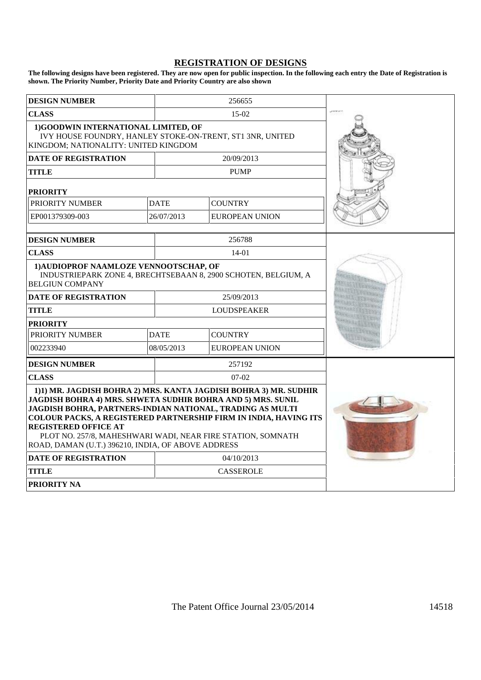## **REGISTRATION OF DESIGNS**

**The following designs have been registered. They are now open for public inspection. In the following each entry the Date of Registration is shown. The Priority Number, Priority Date and Priority Country are also shown**

| <b>DESIGN NUMBER</b>                                                                                                                                                                                                                                                                                                                                                                                                               |                    | 256655                |  |
|------------------------------------------------------------------------------------------------------------------------------------------------------------------------------------------------------------------------------------------------------------------------------------------------------------------------------------------------------------------------------------------------------------------------------------|--------------------|-----------------------|--|
| <b>CLASS</b>                                                                                                                                                                                                                                                                                                                                                                                                                       | 15-02              |                       |  |
| 1)GOODWIN INTERNATIONAL LIMITED, OF<br>IVY HOUSE FOUNDRY, HANLEY STOKE-ON-TRENT, ST1 3NR, UNITED<br>KINGDOM; NATIONALITY: UNITED KINGDOM                                                                                                                                                                                                                                                                                           |                    |                       |  |
| <b>DATE OF REGISTRATION</b>                                                                                                                                                                                                                                                                                                                                                                                                        |                    | 20/09/2013            |  |
| <b>TITLE</b>                                                                                                                                                                                                                                                                                                                                                                                                                       |                    | <b>PUMP</b>           |  |
| <b>PRIORITY</b>                                                                                                                                                                                                                                                                                                                                                                                                                    |                    |                       |  |
| PRIORITY NUMBER                                                                                                                                                                                                                                                                                                                                                                                                                    | <b>DATE</b>        | <b>COUNTRY</b>        |  |
| EP001379309-003                                                                                                                                                                                                                                                                                                                                                                                                                    | 26/07/2013         | <b>EUROPEAN UNION</b> |  |
| <b>DESIGN NUMBER</b>                                                                                                                                                                                                                                                                                                                                                                                                               |                    | 256788                |  |
| <b>CLASS</b>                                                                                                                                                                                                                                                                                                                                                                                                                       |                    | $14-01$               |  |
| 1) AUDIOPROF NAAMLOZE VENNOOTSCHAP, OF<br>INDUSTRIEPARK ZONE 4, BRECHTSEBAAN 8, 2900 SCHOTEN, BELGIUM, A<br><b>BELGIUN COMPANY</b>                                                                                                                                                                                                                                                                                                 |                    |                       |  |
| 25/09/2013<br><b>DATE OF REGISTRATION</b>                                                                                                                                                                                                                                                                                                                                                                                          |                    |                       |  |
| <b>TITLE</b>                                                                                                                                                                                                                                                                                                                                                                                                                       | <b>LOUDSPEAKER</b> |                       |  |
| <b>PRIORITY</b>                                                                                                                                                                                                                                                                                                                                                                                                                    |                    |                       |  |
| PRIORITY NUMBER                                                                                                                                                                                                                                                                                                                                                                                                                    | <b>DATE</b>        | <b>COUNTRY</b>        |  |
| 002233940                                                                                                                                                                                                                                                                                                                                                                                                                          | 08/05/2013         | <b>EUROPEAN UNION</b> |  |
| <b>DESIGN NUMBER</b>                                                                                                                                                                                                                                                                                                                                                                                                               |                    | 257192                |  |
| <b>CLASS</b>                                                                                                                                                                                                                                                                                                                                                                                                                       |                    | $07-02$               |  |
| 1)1) MR. JAGDISH BOHRA 2) MRS. KANTA JAGDISH BOHRA 3) MR. SUDHIR<br>JAGDISH BOHRA 4) MRS. SHWETA SUDHIR BOHRA AND 5) MRS. SUNIL<br><b>JAGDISH BOHRA, PARTNERS-INDIAN NATIONAL, TRADING AS MULTI</b><br><b>COLOUR PACKS, A REGISTERED PARTNERSHIP FIRM IN INDIA, HAVING ITS</b><br><b>REGISTERED OFFICE AT</b><br>PLOT NO. 257/8, MAHESHWARI WADI, NEAR FIRE STATION, SOMNATH<br>ROAD, DAMAN (U.T.) 396210, INDIA, OF ABOVE ADDRESS |                    |                       |  |
| <b>DATE OF REGISTRATION</b>                                                                                                                                                                                                                                                                                                                                                                                                        |                    | 04/10/2013            |  |
| <b>TITLE</b>                                                                                                                                                                                                                                                                                                                                                                                                                       |                    | <b>CASSEROLE</b>      |  |
| <b>PRIORITY NA</b>                                                                                                                                                                                                                                                                                                                                                                                                                 |                    |                       |  |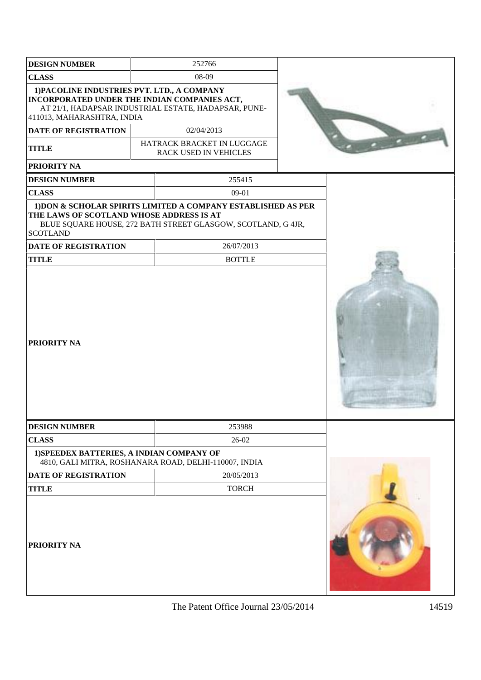| <b>DESIGN NUMBER</b>                                                                                                      |       | 252766                                                                                                                                      |  |  |
|---------------------------------------------------------------------------------------------------------------------------|-------|---------------------------------------------------------------------------------------------------------------------------------------------|--|--|
| <b>CLASS</b>                                                                                                              | 08-09 |                                                                                                                                             |  |  |
| 1) PACOLINE INDUSTRIES PVT. LTD., A COMPANY<br>INCORPORATED UNDER THE INDIAN COMPANIES ACT,<br>411013, MAHARASHTRA, INDIA |       | AT 21/1, HADAPSAR INDUSTRIAL ESTATE, HADAPSAR, PUNE-                                                                                        |  |  |
| <b>DATE OF REGISTRATION</b>                                                                                               |       | 02/04/2013                                                                                                                                  |  |  |
| <b>TITLE</b>                                                                                                              |       | HATRACK BRACKET IN LUGGAGE<br>RACK USED IN VEHICLES                                                                                         |  |  |
| <b>PRIORITY NA</b>                                                                                                        |       |                                                                                                                                             |  |  |
| <b>DESIGN NUMBER</b>                                                                                                      |       | 255415                                                                                                                                      |  |  |
| <b>CLASS</b>                                                                                                              |       | 09-01                                                                                                                                       |  |  |
| THE LAWS OF SCOTLAND WHOSE ADDRESS IS AT<br><b>SCOTLAND</b><br><b>DATE OF REGISTRATION</b>                                |       | 1) DON & SCHOLAR SPIRITS LIMITED A COMPANY ESTABLISHED AS PER<br>BLUE SQUARE HOUSE, 272 BATH STREET GLASGOW, SCOTLAND, G 4JR,<br>26/07/2013 |  |  |
| <b>TITLE</b>                                                                                                              |       | <b>BOTTLE</b>                                                                                                                               |  |  |
| <b>PRIORITY NA</b>                                                                                                        |       |                                                                                                                                             |  |  |
| <b>DESIGN NUMBER</b>                                                                                                      |       | 253988                                                                                                                                      |  |  |
| <b>CLASS</b>                                                                                                              |       | 26-02                                                                                                                                       |  |  |
| 1) SPEEDEX BATTERIES, A INDIAN COMPANY OF                                                                                 |       | 4810, GALI MITRA, ROSHANARA ROAD, DELHI-110007, INDIA                                                                                       |  |  |
| <b>DATE OF REGISTRATION</b>                                                                                               |       | 20/05/2013                                                                                                                                  |  |  |
| <b>TITLE</b>                                                                                                              |       | <b>TORCH</b>                                                                                                                                |  |  |
| <b>PRIORITY NA</b>                                                                                                        |       |                                                                                                                                             |  |  |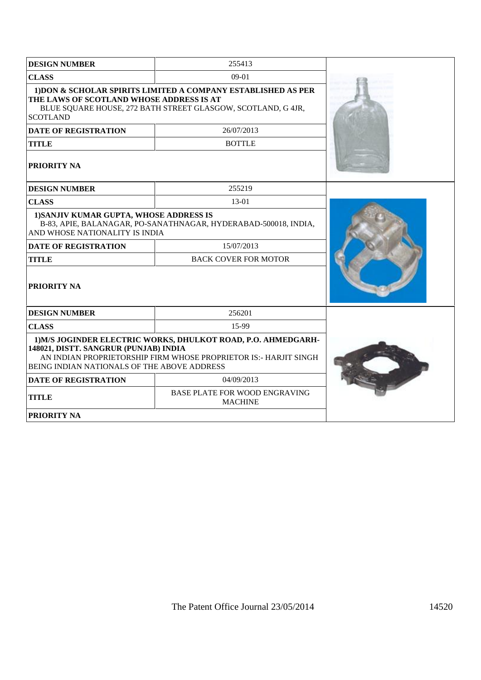| <b>DESIGN NUMBER</b>                                                                                                                                                                                                      | 255413                      |  |
|---------------------------------------------------------------------------------------------------------------------------------------------------------------------------------------------------------------------------|-----------------------------|--|
| 09-01<br><b>CLASS</b>                                                                                                                                                                                                     |                             |  |
| 1) DON & SCHOLAR SPIRITS LIMITED A COMPANY ESTABLISHED AS PER<br>THE LAWS OF SCOTLAND WHOSE ADDRESS IS AT<br>BLUE SQUARE HOUSE, 272 BATH STREET GLASGOW, SCOTLAND, G 4JR,<br><b>SCOTLAND</b>                              |                             |  |
| <b>DATE OF REGISTRATION</b>                                                                                                                                                                                               | 26/07/2013                  |  |
| <b>TITLE</b>                                                                                                                                                                                                              | <b>BOTTLE</b>               |  |
| PRIORITY NA                                                                                                                                                                                                               |                             |  |
| <b>DESIGN NUMBER</b>                                                                                                                                                                                                      | 255219                      |  |
| <b>CLASS</b>                                                                                                                                                                                                              | $13-01$                     |  |
| 1) SANJIV KUMAR GUPTA, WHOSE ADDRESS IS<br>B-83, APIE, BALANAGAR, PO-SANATHNAGAR, HYDERABAD-500018, INDIA,<br>AND WHOSE NATIONALITY IS INDIA                                                                              |                             |  |
| <b>DATE OF REGISTRATION</b>                                                                                                                                                                                               | 15/07/2013                  |  |
| <b>TITLE</b>                                                                                                                                                                                                              | <b>BACK COVER FOR MOTOR</b> |  |
| PRIORITY NA                                                                                                                                                                                                               |                             |  |
| <b>DESIGN NUMBER</b>                                                                                                                                                                                                      | 256201                      |  |
| <b>CLASS</b>                                                                                                                                                                                                              | 15-99                       |  |
| 1) M/S JOGINDER ELECTRIC WORKS, DHULKOT ROAD, P.O. AHMEDGARH-<br>148021, DISTT. SANGRUR (PUNJAB) INDIA<br>AN INDIAN PROPRIETORSHIP FIRM WHOSE PROPRIETOR IS:- HARJIT SINGH<br>BEING INDIAN NATIONALS OF THE ABOVE ADDRESS |                             |  |
| <b>DATE OF REGISTRATION</b>                                                                                                                                                                                               | 04/09/2013                  |  |
| <b>BASE PLATE FOR WOOD ENGRAVING</b><br><b>TITLE</b><br><b>MACHINE</b>                                                                                                                                                    |                             |  |
| <b>PRIORITY NA</b>                                                                                                                                                                                                        |                             |  |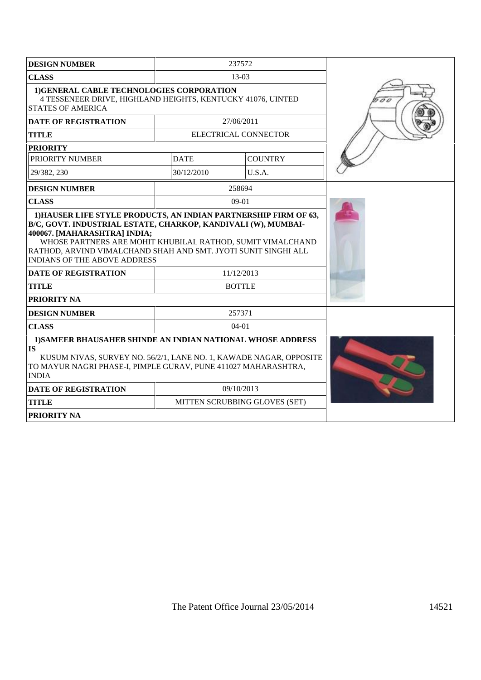| <b>DESIGN NUMBER</b>                                                                                                                                                                                                             | 237572                      |                               |     |
|----------------------------------------------------------------------------------------------------------------------------------------------------------------------------------------------------------------------------------|-----------------------------|-------------------------------|-----|
| <b>CLASS</b>                                                                                                                                                                                                                     |                             |                               |     |
| 1) GENERAL CABLE TECHNOLOGIES CORPORATION<br>4 TESSENEER DRIVE, HIGHLAND HEIGHTS, KENTUCKY 41076, UINTED<br><b>STATES OF AMERICA</b>                                                                                             |                             |                               | 100 |
| <b>DATE OF REGISTRATION</b>                                                                                                                                                                                                      |                             | 27/06/2011                    |     |
| <b>TITLE</b>                                                                                                                                                                                                                     |                             | ELECTRICAL CONNECTOR          |     |
| <b>PRIORITY</b>                                                                                                                                                                                                                  |                             |                               |     |
| PRIORITY NUMBER                                                                                                                                                                                                                  | <b>DATE</b>                 | <b>COUNTRY</b>                |     |
| 29/382, 230                                                                                                                                                                                                                      | 30/12/2010                  | U.S.A.                        |     |
| <b>DESIGN NUMBER</b>                                                                                                                                                                                                             |                             | 258694                        |     |
| <b>CLASS</b>                                                                                                                                                                                                                     |                             | $09-01$                       |     |
| 400067. [MAHARASHTRA] INDIA;<br>WHOSE PARTNERS ARE MOHIT KHUBILAL RATHOD, SUMIT VIMALCHAND<br>RATHOD, ARVIND VIMALCHAND SHAH AND SMT. JYOTI SUNIT SINGHI ALL<br><b>INDIANS OF THE ABOVE ADDRESS</b>                              |                             |                               |     |
| <b>DATE OF REGISTRATION</b><br><b>TITLE</b>                                                                                                                                                                                      | 11/12/2013<br><b>BOTTLE</b> |                               |     |
| PRIORITY NA                                                                                                                                                                                                                      |                             |                               |     |
| <b>DESIGN NUMBER</b>                                                                                                                                                                                                             |                             | 257371                        |     |
| <b>CLASS</b>                                                                                                                                                                                                                     |                             | $04-01$                       |     |
| <b>1) SAMEER BHAUSAHEB SHINDE AN INDIAN NATIONAL WHOSE ADDRESS</b><br>IS<br>KUSUM NIVAS, SURVEY NO. 56/2/1, LANE NO. 1, KAWADE NAGAR, OPPOSITE<br>TO MAYUR NAGRI PHASE-I, PIMPLE GURAV, PUNE 411027 MAHARASHTRA,<br><b>INDIA</b> |                             |                               |     |
| <b>DATE OF REGISTRATION</b>                                                                                                                                                                                                      |                             | 09/10/2013                    |     |
| <b>TITLE</b>                                                                                                                                                                                                                     |                             | MITTEN SCRUBBING GLOVES (SET) |     |
| <b>PRIORITY NA</b>                                                                                                                                                                                                               |                             |                               |     |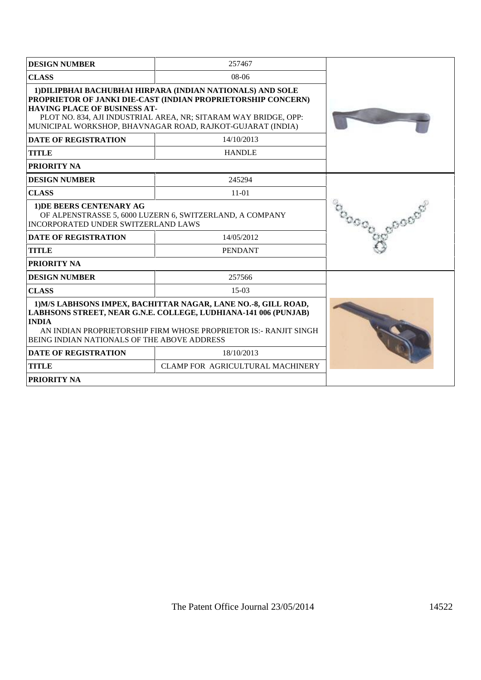| <b>DESIGN NUMBER</b>                                                                                                                                                                                                                                                 | 257467                                                                                                                                                                                                                                                      |  |
|----------------------------------------------------------------------------------------------------------------------------------------------------------------------------------------------------------------------------------------------------------------------|-------------------------------------------------------------------------------------------------------------------------------------------------------------------------------------------------------------------------------------------------------------|--|
| <b>CLASS</b><br>$08-06$                                                                                                                                                                                                                                              |                                                                                                                                                                                                                                                             |  |
| <b>HAVING PLACE OF BUSINESS AT-</b>                                                                                                                                                                                                                                  | 1) DILIPBHAI BACHUBHAI HIRPARA (INDIAN NATIONALS) AND SOLE<br>PROPRIETOR OF JANKI DIE-CAST (INDIAN PROPRIETORSHIP CONCERN)<br>PLOT NO. 834, AJI INDUSTRIAL AREA, NR; SITARAM WAY BRIDGE, OPP:<br>MUNICIPAL WORKSHOP, BHAVNAGAR ROAD, RAJKOT-GUJARAT (INDIA) |  |
| <b>DATE OF REGISTRATION</b>                                                                                                                                                                                                                                          | 14/10/2013                                                                                                                                                                                                                                                  |  |
| <b>TITLE</b>                                                                                                                                                                                                                                                         | <b>HANDLE</b>                                                                                                                                                                                                                                               |  |
| <b>PRIORITY NA</b>                                                                                                                                                                                                                                                   |                                                                                                                                                                                                                                                             |  |
| <b>DESIGN NUMBER</b>                                                                                                                                                                                                                                                 | 245294                                                                                                                                                                                                                                                      |  |
| <b>CLASS</b>                                                                                                                                                                                                                                                         | $11-01$                                                                                                                                                                                                                                                     |  |
| 1) DE BEERS CENTENARY AG<br>OF ALPENSTRASSE 5, 6000 LUZERN 6, SWITZERLAND, A COMPANY<br>INCORPORATED UNDER SWITZERLAND LAWS                                                                                                                                          |                                                                                                                                                                                                                                                             |  |
| <b>DATE OF REGISTRATION</b>                                                                                                                                                                                                                                          | 14/05/2012                                                                                                                                                                                                                                                  |  |
| <b>TITLE</b>                                                                                                                                                                                                                                                         | <b>PENDANT</b>                                                                                                                                                                                                                                              |  |
| <b>PRIORITY NA</b>                                                                                                                                                                                                                                                   |                                                                                                                                                                                                                                                             |  |
| <b>DESIGN NUMBER</b>                                                                                                                                                                                                                                                 | 257566                                                                                                                                                                                                                                                      |  |
| <b>CLASS</b>                                                                                                                                                                                                                                                         | $15-03$                                                                                                                                                                                                                                                     |  |
| 1) M/S LABHSONS IMPEX, BACHITTAR NAGAR, LANE NO.-8, GILL ROAD,<br>LABHSONS STREET, NEAR G.N.E. COLLEGE, LUDHIANA-141 006 (PUNJAB)<br><b>INDIA</b><br>AN INDIAN PROPRIETORSHIP FIRM WHOSE PROPRIETOR IS:- RANJIT SINGH<br>BEING INDIAN NATIONALS OF THE ABOVE ADDRESS |                                                                                                                                                                                                                                                             |  |
| 18/10/2013<br><b>DATE OF REGISTRATION</b>                                                                                                                                                                                                                            |                                                                                                                                                                                                                                                             |  |
| <b>TITLE</b>                                                                                                                                                                                                                                                         | CLAMP FOR AGRICULTURAL MACHINERY                                                                                                                                                                                                                            |  |
| <b>PRIORITY NA</b>                                                                                                                                                                                                                                                   |                                                                                                                                                                                                                                                             |  |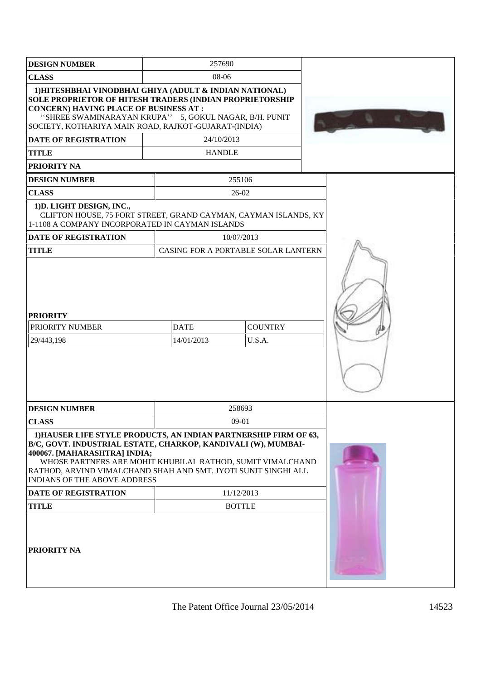| <b>DESIGN NUMBER</b>                                                                                                                                                                                                                                                                                                                                                                                          | 257690                              |  |  |
|---------------------------------------------------------------------------------------------------------------------------------------------------------------------------------------------------------------------------------------------------------------------------------------------------------------------------------------------------------------------------------------------------------------|-------------------------------------|--|--|
| 08-06<br><b>CLASS</b>                                                                                                                                                                                                                                                                                                                                                                                         |                                     |  |  |
| 1) HITESHBHAI VINODBHAI GHIYA (ADULT & INDIAN NATIONAL)<br>SOLE PROPRIETOR OF HITESH TRADERS (INDIAN PROPRIETORSHIP<br><b>CONCERN) HAVING PLACE OF BUSINESS AT:</b><br>"SHREE SWAMINARAYAN KRUPA" 5, GOKUL NAGAR, B/H. PUNIT<br>SOCIETY, KOTHARIYA MAIN ROAD, RAJKOT-GUJARAT-(INDIA)                                                                                                                          |                                     |  |  |
| <b>DATE OF REGISTRATION</b>                                                                                                                                                                                                                                                                                                                                                                                   | 24/10/2013                          |  |  |
| <b>TITLE</b>                                                                                                                                                                                                                                                                                                                                                                                                  | <b>HANDLE</b>                       |  |  |
| <b>PRIORITY NA</b>                                                                                                                                                                                                                                                                                                                                                                                            |                                     |  |  |
| <b>DESIGN NUMBER</b>                                                                                                                                                                                                                                                                                                                                                                                          | 255106                              |  |  |
| <b>CLASS</b>                                                                                                                                                                                                                                                                                                                                                                                                  | $26-02$                             |  |  |
| 1) D. LIGHT DESIGN, INC.,<br>CLIFTON HOUSE, 75 FORT STREET, GRAND CAYMAN, CAYMAN ISLANDS, KY<br>1-1108 A COMPANY INCORPORATED IN CAYMAN ISLANDS                                                                                                                                                                                                                                                               |                                     |  |  |
| <b>DATE OF REGISTRATION</b>                                                                                                                                                                                                                                                                                                                                                                                   | 10/07/2013                          |  |  |
| <b>TITLE</b>                                                                                                                                                                                                                                                                                                                                                                                                  | CASING FOR A PORTABLE SOLAR LANTERN |  |  |
| <b>PRIORITY</b><br><b>COUNTRY</b><br>PRIORITY NUMBER<br><b>DATE</b><br>29/443,198<br>14/01/2013<br>U.S.A.                                                                                                                                                                                                                                                                                                     |                                     |  |  |
| <b>DESIGN NUMBER</b><br><b>CLASS</b>                                                                                                                                                                                                                                                                                                                                                                          | 258693<br>09-01                     |  |  |
| 1) HAUSER LIFE STYLE PRODUCTS, AN INDIAN PARTNERSHIP FIRM OF 63,<br>B/C, GOVT. INDUSTRIAL ESTATE, CHARKOP, KANDIVALI (W), MUMBAI-<br>400067. [MAHARASHTRA] INDIA;<br>WHOSE PARTNERS ARE MOHIT KHUBILAL RATHOD, SUMIT VIMALCHAND<br>RATHOD, ARVIND VIMALCHAND SHAH AND SMT. JYOTI SUNIT SINGHI ALL<br><b>INDIANS OF THE ABOVE ADDRESS</b><br><b>DATE OF REGISTRATION</b><br><b>TITLE</b><br><b>PRIORITY NA</b> |                                     |  |  |
|                                                                                                                                                                                                                                                                                                                                                                                                               |                                     |  |  |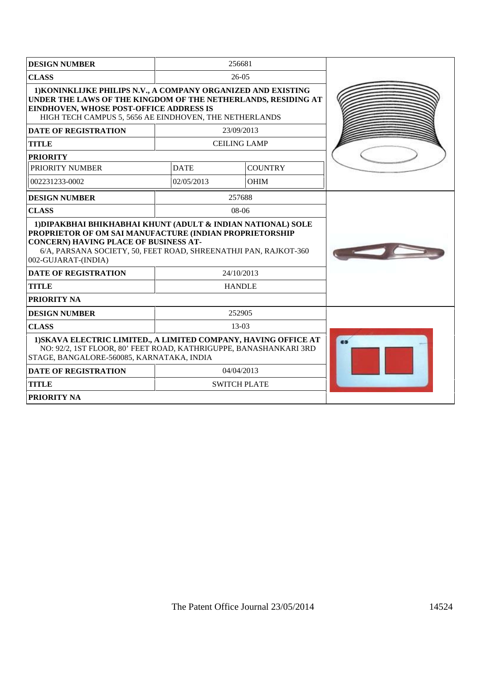| <b>DESIGN NUMBER</b>                                                                                                                                                                                                                                        | 256681        |                     |           |
|-------------------------------------------------------------------------------------------------------------------------------------------------------------------------------------------------------------------------------------------------------------|---------------|---------------------|-----------|
| <b>CLASS</b>                                                                                                                                                                                                                                                |               | $26-05$             |           |
| 1) KONINKLIJKE PHILIPS N.V., A COMPANY ORGANIZED AND EXISTING<br>UNDER THE LAWS OF THE KINGDOM OF THE NETHERLANDS, RESIDING AT<br>EINDHOVEN, WHOSE POST-OFFICE ADDRESS IS<br>HIGH TECH CAMPUS 5, 5656 AE EINDHOVEN, THE NETHERLANDS                         |               |                     |           |
| <b>DATE OF REGISTRATION</b>                                                                                                                                                                                                                                 |               | 23/09/2013          |           |
| <b>TITLE</b>                                                                                                                                                                                                                                                |               | <b>CEILING LAMP</b> |           |
| <b>PRIORITY</b>                                                                                                                                                                                                                                             |               |                     |           |
| PRIORITY NUMBER                                                                                                                                                                                                                                             | <b>DATE</b>   | <b>COUNTRY</b>      |           |
| 002231233-0002                                                                                                                                                                                                                                              | 02/05/2013    | <b>OHIM</b>         |           |
| <b>DESIGN NUMBER</b>                                                                                                                                                                                                                                        | 257688        |                     |           |
| <b>CLASS</b>                                                                                                                                                                                                                                                |               | $08-06$             |           |
| 1) DIPAKBHAI BHIKHABHAI KHUNT (ADULT & INDIAN NATIONAL) SOLE<br>PROPRIETOR OF OM SAI MANUFACTURE (INDIAN PROPRIETORSHIP<br>CONCERN) HAVING PLACE OF BUSINESS AT-<br>6/A, PARSANA SOCIETY, 50, FEET ROAD, SHREENATHJI PAN, RAJKOT-360<br>002-GUJARAT-(INDIA) |               |                     |           |
| <b>DATE OF REGISTRATION</b>                                                                                                                                                                                                                                 | 24/10/2013    |                     |           |
| <b>TITLE</b>                                                                                                                                                                                                                                                | <b>HANDLE</b> |                     |           |
| <b>PRIORITY NA</b>                                                                                                                                                                                                                                          |               |                     |           |
| <b>DESIGN NUMBER</b>                                                                                                                                                                                                                                        |               | 252905              |           |
| <b>CLASS</b>                                                                                                                                                                                                                                                |               | 13-03               |           |
| 1) SKAVA ELECTRIC LIMITED., A LIMITED COMPANY, HAVING OFFICE AT<br>NO: 92/2, 1ST FLOOR, 80' FEET ROAD, KATHRIGUPPE, BANASHANKARI 3RD<br>STAGE, BANGALORE-560085, KARNATAKA, INDIA                                                                           |               |                     | $\bullet$ |
| <b>DATE OF REGISTRATION</b>                                                                                                                                                                                                                                 | 04/04/2013    |                     |           |
| <b>TITLE</b>                                                                                                                                                                                                                                                |               | <b>SWITCH PLATE</b> |           |
| <b>PRIORITY NA</b>                                                                                                                                                                                                                                          |               |                     |           |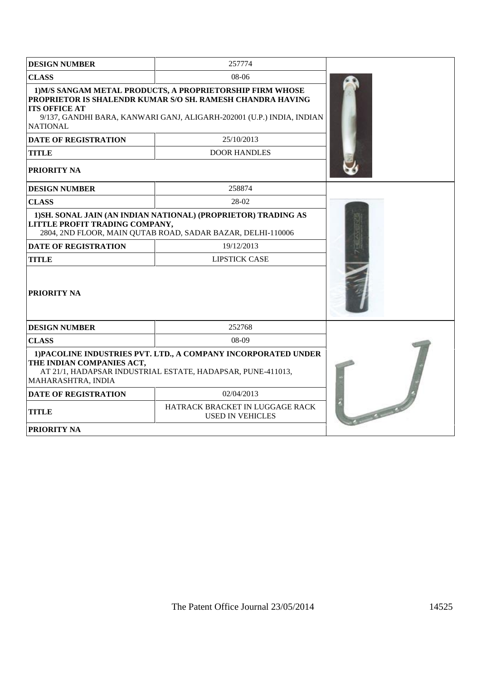| <b>DESIGN NUMBER</b>                            | 257774                                                                                                                                                                                           |  |
|-------------------------------------------------|--------------------------------------------------------------------------------------------------------------------------------------------------------------------------------------------------|--|
| <b>CLASS</b>                                    | 08-06                                                                                                                                                                                            |  |
| <b>ITS OFFICE AT</b><br><b>NATIONAL</b>         | 1) M/S SANGAM METAL PRODUCTS, A PROPRIETORSHIP FIRM WHOSE<br>PROPRIETOR IS SHALENDR KUMAR S/O SH. RAMESH CHANDRA HAVING<br>9/137, GANDHI BARA, KANWARI GANJ, ALIGARH-202001 (U.P.) INDIA, INDIAN |  |
| <b>DATE OF REGISTRATION</b>                     | 25/10/2013                                                                                                                                                                                       |  |
| <b>TITLE</b>                                    | <b>DOOR HANDLES</b>                                                                                                                                                                              |  |
| PRIORITY NA                                     |                                                                                                                                                                                                  |  |
| <b>DESIGN NUMBER</b>                            | 258874                                                                                                                                                                                           |  |
| <b>CLASS</b>                                    | 28-02                                                                                                                                                                                            |  |
| LITTLE PROFIT TRADING COMPANY,                  | 1) SH. SONAL JAIN (AN INDIAN NATIONAL) (PROPRIETOR) TRADING AS<br>2804, 2ND FLOOR, MAIN QUTAB ROAD, SADAR BAZAR, DELHI-110006                                                                    |  |
| <b>DATE OF REGISTRATION</b>                     | 19/12/2013                                                                                                                                                                                       |  |
| <b>TITLE</b>                                    | <b>LIPSTICK CASE</b>                                                                                                                                                                             |  |
| <b>PRIORITY NA</b>                              |                                                                                                                                                                                                  |  |
| <b>DESIGN NUMBER</b>                            | 252768                                                                                                                                                                                           |  |
| <b>CLASS</b>                                    | 08-09                                                                                                                                                                                            |  |
| THE INDIAN COMPANIES ACT,<br>MAHARASHTRA, INDIA | 1) PACOLINE INDUSTRIES PVT. LTD., A COMPANY INCORPORATED UNDER<br>AT 21/1, HADAPSAR INDUSTRIAL ESTATE, HADAPSAR, PUNE-411013,                                                                    |  |
| <b>DATE OF REGISTRATION</b>                     | 02/04/2013                                                                                                                                                                                       |  |
| <b>TITLE</b>                                    | HATRACK BRACKET IN LUGGAGE RACK<br><b>USED IN VEHICLES</b>                                                                                                                                       |  |
| <b>PRIORITY NA</b>                              |                                                                                                                                                                                                  |  |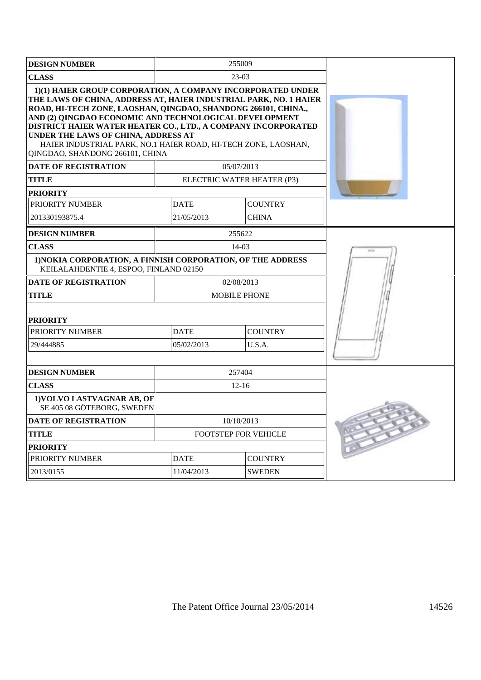| <b>DESIGN NUMBER</b>                                                                                                                                                                                                                                                                                                                                                                                                                                                      |                           | 255009                     |      |
|---------------------------------------------------------------------------------------------------------------------------------------------------------------------------------------------------------------------------------------------------------------------------------------------------------------------------------------------------------------------------------------------------------------------------------------------------------------------------|---------------------------|----------------------------|------|
| <b>CLASS</b>                                                                                                                                                                                                                                                                                                                                                                                                                                                              |                           |                            |      |
| 1)(1) HAIER GROUP CORPORATION, A COMPANY INCORPORATED UNDER<br>THE LAWS OF CHINA, ADDRESS AT, HAIER INDUSTRIAL PARK, NO. 1 HAIER<br>ROAD, HI-TECH ZONE, LAOSHAN, QINGDAO, SHANDONG 266101, CHINA.,<br>AND (2) OINGDAO ECONOMIC AND TECHNOLOGICAL DEVELOPMENT<br>DISTRICT HAIER WATER HEATER CO., LTD., A COMPANY INCORPORATED<br>UNDER THE LAWS OF CHINA, ADDRESS AT<br>HAIER INDUSTRIAL PARK, NO.1 HAIER ROAD, HI-TECH ZONE, LAOSHAN,<br>QINGDAO, SHANDONG 266101, CHINA |                           |                            |      |
| <b>DATE OF REGISTRATION</b>                                                                                                                                                                                                                                                                                                                                                                                                                                               |                           | 05/07/2013                 |      |
| <b>TITLE</b>                                                                                                                                                                                                                                                                                                                                                                                                                                                              |                           | ELECTRIC WATER HEATER (P3) |      |
| <b>PRIORITY</b>                                                                                                                                                                                                                                                                                                                                                                                                                                                           |                           |                            |      |
| PRIORITY NUMBER                                                                                                                                                                                                                                                                                                                                                                                                                                                           | <b>DATE</b>               | <b>COUNTRY</b>             |      |
| 201330193875.4                                                                                                                                                                                                                                                                                                                                                                                                                                                            | 21/05/2013                | <b>CHINA</b>               |      |
| <b>DESIGN NUMBER</b>                                                                                                                                                                                                                                                                                                                                                                                                                                                      |                           | 255622                     |      |
| <b>CLASS</b>                                                                                                                                                                                                                                                                                                                                                                                                                                                              |                           | 14-03                      | 4713 |
| 1) NOKIA CORPORATION, A FINNISH CORPORATION, OF THE ADDRESS<br>KEILALAHDENTIE 4, ESPOO, FINLAND 02150                                                                                                                                                                                                                                                                                                                                                                     |                           |                            |      |
| <b>DATE OF REGISTRATION</b>                                                                                                                                                                                                                                                                                                                                                                                                                                               |                           | 02/08/2013                 |      |
| <b>TITLE</b>                                                                                                                                                                                                                                                                                                                                                                                                                                                              | <b>MOBILE PHONE</b>       |                            |      |
| <b>PRIORITY</b><br>PRIORITY NUMBER                                                                                                                                                                                                                                                                                                                                                                                                                                        |                           |                            |      |
| 29/444885                                                                                                                                                                                                                                                                                                                                                                                                                                                                 | <b>DATE</b><br>05/02/2013 | <b>COUNTRY</b><br>U.S.A.   |      |
|                                                                                                                                                                                                                                                                                                                                                                                                                                                                           |                           |                            |      |
| <b>DESIGN NUMBER</b>                                                                                                                                                                                                                                                                                                                                                                                                                                                      |                           | 257404                     |      |
| <b>CLASS</b>                                                                                                                                                                                                                                                                                                                                                                                                                                                              |                           | $12-16$                    |      |
| 1) VOLVO LASTVAGNAR AB, OF<br>SE 405 08 GÖTEBORG, SWEDEN                                                                                                                                                                                                                                                                                                                                                                                                                  |                           |                            |      |
| <b>DATE OF REGISTRATION</b>                                                                                                                                                                                                                                                                                                                                                                                                                                               |                           | 10/10/2013                 |      |
| <b>TITLE</b>                                                                                                                                                                                                                                                                                                                                                                                                                                                              |                           | FOOTSTEP FOR VEHICLE       |      |
| <b>PRIORITY</b>                                                                                                                                                                                                                                                                                                                                                                                                                                                           |                           |                            |      |
| PRIORITY NUMBER                                                                                                                                                                                                                                                                                                                                                                                                                                                           | <b>DATE</b>               | <b>COUNTRY</b>             |      |
| 2013/0155                                                                                                                                                                                                                                                                                                                                                                                                                                                                 | 11/04/2013                | <b>SWEDEN</b>              |      |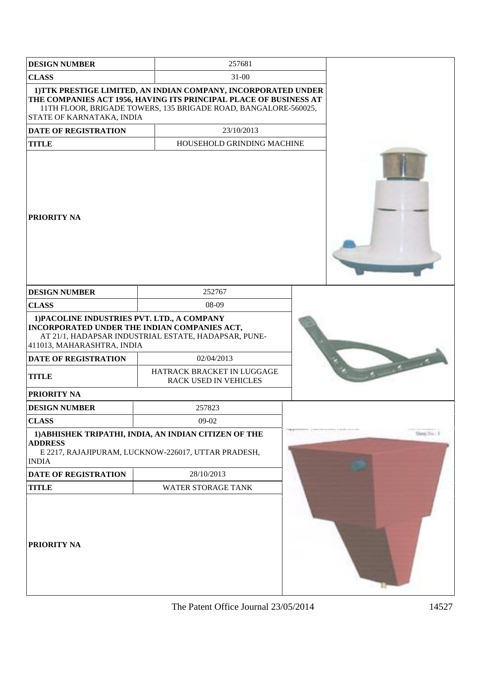| <b>DESIGN NUMBER</b>                                                                                                      | 257681                                                                                                                                                                                                 |  |          |
|---------------------------------------------------------------------------------------------------------------------------|--------------------------------------------------------------------------------------------------------------------------------------------------------------------------------------------------------|--|----------|
| <b>CLASS</b>                                                                                                              | $31 - 00$                                                                                                                                                                                              |  |          |
| STATE OF KARNATAKA, INDIA                                                                                                 | 1) TTK PRESTIGE LIMITED, AN INDIAN COMPANY, INCORPORATED UNDER<br>THE COMPANIES ACT 1956, HAVING ITS PRINCIPAL PLACE OF BUSINESS AT<br>11TH FLOOR, BRIGADE TOWERS, 135 BRIGADE ROAD, BANGALORE-560025, |  |          |
| <b>DATE OF REGISTRATION</b>                                                                                               | 23/10/2013                                                                                                                                                                                             |  |          |
| <b>TITLE</b>                                                                                                              | HOUSEHOLD GRINDING MACHINE                                                                                                                                                                             |  |          |
| <b>PRIORITY NA</b>                                                                                                        |                                                                                                                                                                                                        |  |          |
| <b>DESIGN NUMBER</b>                                                                                                      | 252767                                                                                                                                                                                                 |  |          |
| <b>CLASS</b>                                                                                                              | 08-09                                                                                                                                                                                                  |  |          |
| 1) PACOLINE INDUSTRIES PVT. LTD., A COMPANY<br>INCORPORATED UNDER THE INDIAN COMPANIES ACT,<br>411013, MAHARASHTRA, INDIA | AT 21/1, HADAPSAR INDUSTRIAL ESTATE, HADAPSAR, PUNE-                                                                                                                                                   |  |          |
| <b>DATE OF REGISTRATION</b>                                                                                               | 02/04/2013                                                                                                                                                                                             |  |          |
| <b>TITLE</b>                                                                                                              | HATRACK BRACKET IN LUGGAGE<br>RACK USED IN VEHICLES                                                                                                                                                    |  |          |
| <b>PRIORITY NA</b>                                                                                                        |                                                                                                                                                                                                        |  |          |
| <b>DESIGN NUMBER</b>                                                                                                      | 257823                                                                                                                                                                                                 |  |          |
| <b>CLASS</b>                                                                                                              | 09-02                                                                                                                                                                                                  |  |          |
| <b>ADDRESS</b><br><b>INDIA</b>                                                                                            | 1) ABHISHEK TRIPATHI, INDIA, AN INDIAN CITIZEN OF THE<br>E 2217, RAJAJIPURAM, LUCKNOW-226017, UTTAR PRADESH,                                                                                           |  | tion No. |
| DATE OF REGISTRATION                                                                                                      | 28/10/2013                                                                                                                                                                                             |  |          |
| <b>TITLE</b>                                                                                                              | WATER STORAGE TANK                                                                                                                                                                                     |  |          |
| <b>PRIORITY NA</b>                                                                                                        |                                                                                                                                                                                                        |  |          |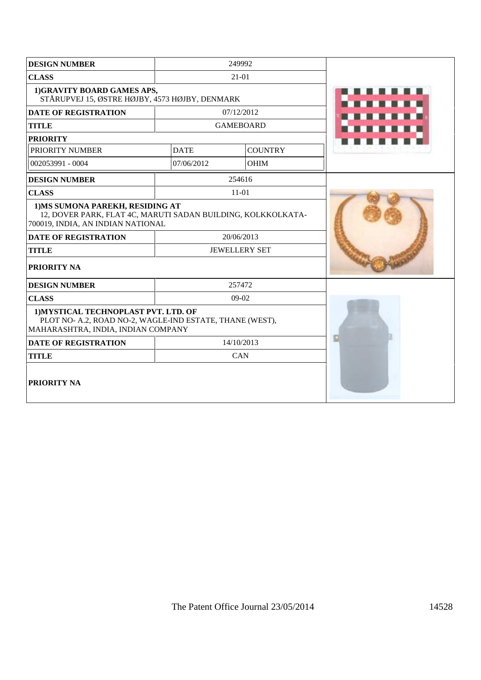| <b>DESIGN NUMBER</b>                                                                                                                   | 249992      |                      |  |
|----------------------------------------------------------------------------------------------------------------------------------------|-------------|----------------------|--|
| <b>CLASS</b>                                                                                                                           |             | $21-01$              |  |
| 1)GRAVITY BOARD GAMES APS,<br>STÅRUPVEJ 15, ØSTRE HØJBY, 4573 HØJBY, DENMARK                                                           |             |                      |  |
| <b>DATE OF REGISTRATION</b>                                                                                                            |             | 07/12/2012           |  |
| <b>TITLE</b>                                                                                                                           |             | <b>GAMEBOARD</b>     |  |
| <b>PRIORITY</b>                                                                                                                        |             |                      |  |
| PRIORITY NUMBER                                                                                                                        | <b>DATE</b> | <b>COUNTRY</b>       |  |
| 002053991 - 0004                                                                                                                       | 07/06/2012  | OHIM                 |  |
| <b>DESIGN NUMBER</b>                                                                                                                   |             | 254616               |  |
| <b>CLASS</b>                                                                                                                           |             | $11-01$              |  |
| 1) MS SUMONA PAREKH, RESIDING AT<br>12, DOVER PARK, FLAT 4C, MARUTI SADAN BUILDING, KOLKKOLKATA-<br>700019, INDIA, AN INDIAN NATIONAL  |             |                      |  |
| <b>DATE OF REGISTRATION</b>                                                                                                            |             | 20/06/2013           |  |
| <b>TITLE</b>                                                                                                                           |             | <b>JEWELLERY SET</b> |  |
| <b>PRIORITY NA</b>                                                                                                                     |             |                      |  |
| <b>DESIGN NUMBER</b>                                                                                                                   |             | 257472               |  |
| <b>CLASS</b>                                                                                                                           |             | $09-02$              |  |
| 1) MYSTICAL TECHNOPLAST PVT. LTD. OF<br>PLOT NO- A.2, ROAD NO-2, WAGLE-IND ESTATE, THANE (WEST),<br>MAHARASHTRA, INDIA, INDIAN COMPANY |             |                      |  |
| <b>DATE OF REGISTRATION</b>                                                                                                            |             | 14/10/2013           |  |
| <b>TITLE</b>                                                                                                                           |             | CAN                  |  |
| <b>PRIORITY NA</b>                                                                                                                     |             |                      |  |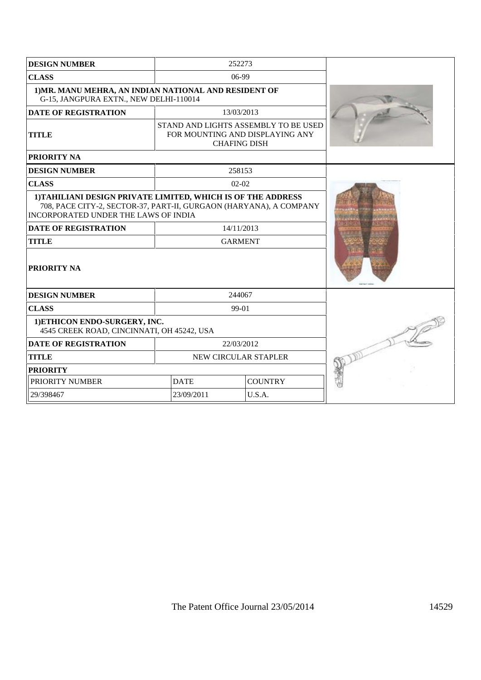| <b>DESIGN NUMBER</b>                                                                                                                                                       | 252273                                                                                         |  |  |
|----------------------------------------------------------------------------------------------------------------------------------------------------------------------------|------------------------------------------------------------------------------------------------|--|--|
| <b>CLASS</b>                                                                                                                                                               | 06-99                                                                                          |  |  |
| 1) MR. MANU MEHRA, AN INDIAN NATIONAL AND RESIDENT OF<br>G-15, JANGPURA EXTN., NEW DELHI-110014                                                                            |                                                                                                |  |  |
| <b>DATE OF REGISTRATION</b>                                                                                                                                                | 13/03/2013                                                                                     |  |  |
| <b>TITLE</b>                                                                                                                                                               | STAND AND LIGHTS ASSEMBLY TO BE USED<br>FOR MOUNTING AND DISPLAYING ANY<br><b>CHAFING DISH</b> |  |  |
| <b>PRIORITY NA</b>                                                                                                                                                         |                                                                                                |  |  |
| <b>DESIGN NUMBER</b>                                                                                                                                                       | 258153                                                                                         |  |  |
| <b>CLASS</b>                                                                                                                                                               | $02 - 02$                                                                                      |  |  |
| 1) TAHILIANI DESIGN PRIVATE LIMITED, WHICH IS OF THE ADDRESS<br>708, PACE CITY-2, SECTOR-37, PART-II, GURGAON (HARYANA), A COMPANY<br>INCORPORATED UNDER THE LAWS OF INDIA |                                                                                                |  |  |
| DATE OF REGISTRATION                                                                                                                                                       | 14/11/2013                                                                                     |  |  |
| <b>TITLE</b>                                                                                                                                                               | <b>GARMENT</b>                                                                                 |  |  |
| <b>PRIORITY NA</b>                                                                                                                                                         |                                                                                                |  |  |
| <b>DESIGN NUMBER</b>                                                                                                                                                       | 244067                                                                                         |  |  |
| <b>CLASS</b>                                                                                                                                                               | 99-01                                                                                          |  |  |
| 1) ETHICON ENDO-SURGERY, INC.<br>4545 CREEK ROAD, CINCINNATI, OH 45242, USA                                                                                                |                                                                                                |  |  |
| <b>DATE OF REGISTRATION</b>                                                                                                                                                | 22/03/2012                                                                                     |  |  |
| <b>TITLE</b>                                                                                                                                                               | NEW CIRCULAR STAPLER                                                                           |  |  |
| <b>PRIORITY</b>                                                                                                                                                            |                                                                                                |  |  |
| PRIORITY NUMBER                                                                                                                                                            | <b>DATE</b><br><b>COUNTRY</b>                                                                  |  |  |
| 29/398467                                                                                                                                                                  | 23/09/2011<br>U.S.A.                                                                           |  |  |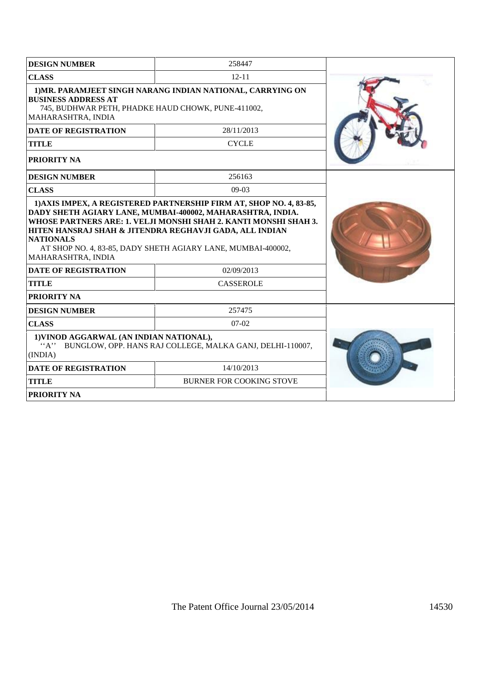| <b>DESIGN NUMBER</b>                                                                                                                                                                                                                                                                                                               | 258447                                                     |  |
|------------------------------------------------------------------------------------------------------------------------------------------------------------------------------------------------------------------------------------------------------------------------------------------------------------------------------------|------------------------------------------------------------|--|
| <b>CLASS</b>                                                                                                                                                                                                                                                                                                                       | $12 - 11$                                                  |  |
| <b>BUSINESS ADDRESS AT</b><br>745, BUDHWAR PETH, PHADKE HAUD CHOWK, PUNE-411002,<br>MAHARASHTRA, INDIA                                                                                                                                                                                                                             | 1) MR. PARAMJEET SINGH NARANG INDIAN NATIONAL, CARRYING ON |  |
| <b>DATE OF REGISTRATION</b>                                                                                                                                                                                                                                                                                                        | 28/11/2013                                                 |  |
| <b>TITLE</b>                                                                                                                                                                                                                                                                                                                       | <b>CYCLE</b>                                               |  |
| PRIORITY NA                                                                                                                                                                                                                                                                                                                        |                                                            |  |
| <b>DESIGN NUMBER</b>                                                                                                                                                                                                                                                                                                               | 256163                                                     |  |
| <b>CLASS</b>                                                                                                                                                                                                                                                                                                                       | $09-03$                                                    |  |
| DADY SHETH AGIARY LANE, MUMBAI-400002, MAHARASHTRA, INDIA.<br>WHOSE PARTNERS ARE: 1. VELJI MONSHI SHAH 2. KANTI MONSHI SHAH 3.<br>HITEN HANSRAJ SHAH & JITENDRA REGHAVJI GADA, ALL INDIAN<br><b>NATIONALS</b><br>AT SHOP NO. 4, 83-85, DADY SHETH AGIARY LANE, MUMBAI-400002,<br>MAHARASHTRA, INDIA<br><b>DATE OF REGISTRATION</b> |                                                            |  |
| <b>TITLE</b>                                                                                                                                                                                                                                                                                                                       | <b>CASSEROLE</b>                                           |  |
| <b>PRIORITY NA</b>                                                                                                                                                                                                                                                                                                                 |                                                            |  |
| <b>DESIGN NUMBER</b>                                                                                                                                                                                                                                                                                                               | 257475                                                     |  |
| <b>CLASS</b>                                                                                                                                                                                                                                                                                                                       | $07-02$                                                    |  |
| 1) VINOD AGGARWAL (AN INDIAN NATIONAL),<br>``A"<br>BUNGLOW, OPP. HANS RAJ COLLEGE, MALKA GANJ, DELHI-110007,<br>(INDIA)                                                                                                                                                                                                            |                                                            |  |
| <b>DATE OF REGISTRATION</b>                                                                                                                                                                                                                                                                                                        | 14/10/2013                                                 |  |
| <b>TITLE</b>                                                                                                                                                                                                                                                                                                                       | <b>BURNER FOR COOKING STOVE</b>                            |  |
| <b>PRIORITY NA</b>                                                                                                                                                                                                                                                                                                                 |                                                            |  |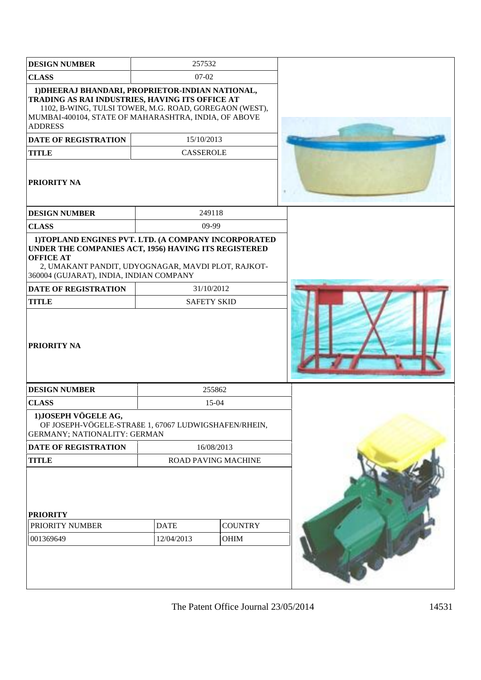| <b>DESIGN NUMBER</b>                                                                                                                                                                                                                                                                   | 257532                           |                |  |
|----------------------------------------------------------------------------------------------------------------------------------------------------------------------------------------------------------------------------------------------------------------------------------------|----------------------------------|----------------|--|
| <b>CLASS</b>                                                                                                                                                                                                                                                                           | 07-02                            |                |  |
| 1) DHEERAJ BHANDARI, PROPRIETOR-INDIAN NATIONAL,<br>TRADING AS RAI INDUSTRIES, HAVING ITS OFFICE AT<br>1102, B-WING, TULSI TOWER, M.G. ROAD, GOREGAON (WEST),<br>MUMBAI-400104, STATE OF MAHARASHTRA, INDIA, OF ABOVE<br><b>ADDRESS</b><br><b>DATE OF REGISTRATION</b><br><b>TITLE</b> | 15/10/2013<br><b>CASSEROLE</b>   |                |  |
| <b>PRIORITY NA</b>                                                                                                                                                                                                                                                                     |                                  |                |  |
| <b>DESIGN NUMBER</b>                                                                                                                                                                                                                                                                   | 249118                           |                |  |
| <b>CLASS</b>                                                                                                                                                                                                                                                                           | 09-99                            |                |  |
| UNDER THE COMPANIES ACT, 1956) HAVING ITS REGISTERED<br><b>OFFICE AT</b><br>2, UMAKANT PANDIT, UDYOGNAGAR, MAVDI PLOT, RAJKOT-<br>360004 (GUJARAT), INDIA, INDIAN COMPANY                                                                                                              |                                  |                |  |
| <b>DATE OF REGISTRATION</b><br><b>TITLE</b>                                                                                                                                                                                                                                            | 31/10/2012<br><b>SAFETY SKID</b> |                |  |
| <b>PRIORITY NA</b>                                                                                                                                                                                                                                                                     |                                  |                |  |
| <b>DESIGN NUMBER</b>                                                                                                                                                                                                                                                                   | 255862                           |                |  |
| <b>CLASS</b>                                                                                                                                                                                                                                                                           | 15-04                            |                |  |
| 1) JOSEPH VÖGELE AG,<br>OF JOSEPH-VÖGELE-STRAßE 1, 67067 LUDWIGSHAFEN/RHEIN,<br>GERMANY; NATIONALITY: GERMAN                                                                                                                                                                           |                                  |                |  |
| <b>DATE OF REGISTRATION</b>                                                                                                                                                                                                                                                            | 16/08/2013                       |                |  |
| <b>TITLE</b>                                                                                                                                                                                                                                                                           | ROAD PAVING MACHINE              |                |  |
| <b>PRIORITY</b><br>PRIORITY NUMBER                                                                                                                                                                                                                                                     | <b>DATE</b>                      | <b>COUNTRY</b> |  |
| 001369649                                                                                                                                                                                                                                                                              | 12/04/2013                       | <b>OHIM</b>    |  |
|                                                                                                                                                                                                                                                                                        |                                  |                |  |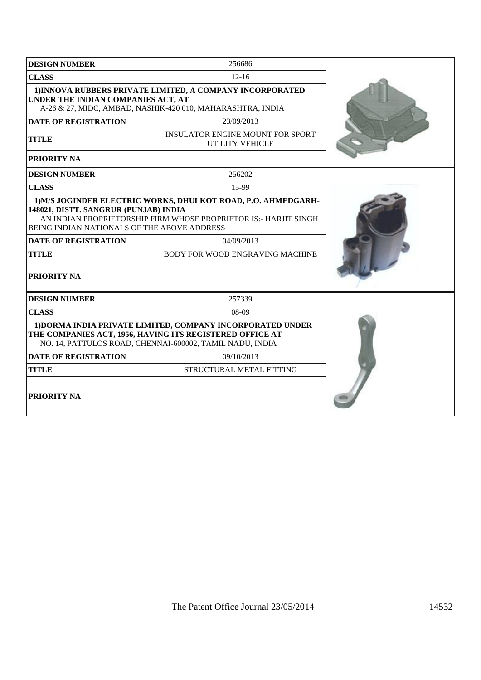| <b>DESIGN NUMBER</b>                                                                                                                                                                                                      | 256686                                                            |  |  |
|---------------------------------------------------------------------------------------------------------------------------------------------------------------------------------------------------------------------------|-------------------------------------------------------------------|--|--|
| <b>CLASS</b>                                                                                                                                                                                                              | $12 - 16$                                                         |  |  |
| 1) INNOVA RUBBERS PRIVATE LIMITED, A COMPANY INCORPORATED<br>UNDER THE INDIAN COMPANIES ACT, AT<br>A-26 & 27, MIDC, AMBAD, NASHIK-420 010, MAHARASHTRA, INDIA                                                             |                                                                   |  |  |
| <b>DATE OF REGISTRATION</b>                                                                                                                                                                                               | 23/09/2013                                                        |  |  |
| <b>TITLE</b>                                                                                                                                                                                                              | <b>INSULATOR ENGINE MOUNT FOR SPORT</b><br><b>UTILITY VEHICLE</b> |  |  |
| PRIORITY NA                                                                                                                                                                                                               |                                                                   |  |  |
| <b>DESIGN NUMBER</b>                                                                                                                                                                                                      | 256202                                                            |  |  |
| <b>CLASS</b>                                                                                                                                                                                                              | 15-99                                                             |  |  |
| 1) M/S JOGINDER ELECTRIC WORKS, DHULKOT ROAD, P.O. AHMEDGARH-<br>148021, DISTT. SANGRUR (PUNJAB) INDIA<br>AN INDIAN PROPRIETORSHIP FIRM WHOSE PROPRIETOR IS:- HARJIT SINGH<br>BEING INDIAN NATIONALS OF THE ABOVE ADDRESS |                                                                   |  |  |
| <b>DATE OF REGISTRATION</b>                                                                                                                                                                                               | 04/09/2013                                                        |  |  |
| <b>TITLE</b>                                                                                                                                                                                                              | BODY FOR WOOD ENGRAVING MACHINE                                   |  |  |
| PRIORITY NA                                                                                                                                                                                                               |                                                                   |  |  |
| <b>DESIGN NUMBER</b>                                                                                                                                                                                                      | 257339                                                            |  |  |
| <b>CLASS</b>                                                                                                                                                                                                              | $08-09$                                                           |  |  |
| 1) DORMA INDIA PRIVATE LIMITED, COMPANY INCORPORATED UNDER<br>THE COMPANIES ACT, 1956, HAVING ITS REGISTERED OFFICE AT<br>NO. 14, PATTULOS ROAD, CHENNAI-600002, TAMIL NADU, INDIA                                        |                                                                   |  |  |
| <b>DATE OF REGISTRATION</b>                                                                                                                                                                                               | 09/10/2013                                                        |  |  |
| <b>TITLE</b>                                                                                                                                                                                                              | STRUCTURAL METAL FITTING                                          |  |  |
| <b>PRIORITY NA</b>                                                                                                                                                                                                        |                                                                   |  |  |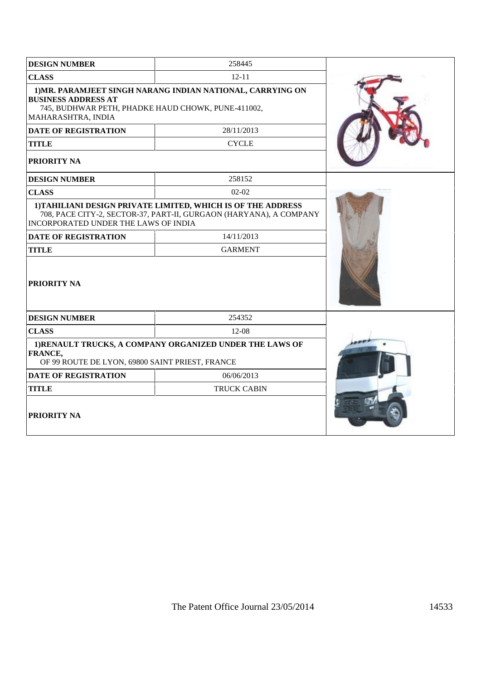| <b>DESIGN NUMBER</b>                                                                                   | 258445                                                                                                                             |  |
|--------------------------------------------------------------------------------------------------------|------------------------------------------------------------------------------------------------------------------------------------|--|
| <b>CLASS</b>                                                                                           | $12 - 11$                                                                                                                          |  |
| <b>BUSINESS ADDRESS AT</b><br>745, BUDHWAR PETH, PHADKE HAUD CHOWK, PUNE-411002,<br>MAHARASHTRA, INDIA | 1) MR. PARAMJEET SINGH NARANG INDIAN NATIONAL, CARRYING ON                                                                         |  |
| <b>DATE OF REGISTRATION</b>                                                                            | 28/11/2013                                                                                                                         |  |
| <b>TITLE</b>                                                                                           | <b>CYCLE</b>                                                                                                                       |  |
| PRIORITY NA                                                                                            |                                                                                                                                    |  |
| <b>DESIGN NUMBER</b>                                                                                   | 258152                                                                                                                             |  |
| <b>CLASS</b>                                                                                           | $02 - 02$                                                                                                                          |  |
| INCORPORATED UNDER THE LAWS OF INDIA                                                                   | 1) TAHILIANI DESIGN PRIVATE LIMITED, WHICH IS OF THE ADDRESS<br>708, PACE CITY-2, SECTOR-37, PART-II, GURGAON (HARYANA), A COMPANY |  |
| <b>DATE OF REGISTRATION</b>                                                                            | 14/11/2013                                                                                                                         |  |
| <b>TITLE</b>                                                                                           | <b>GARMENT</b>                                                                                                                     |  |
| <b>PRIORITY NA</b>                                                                                     |                                                                                                                                    |  |
| <b>DESIGN NUMBER</b>                                                                                   | 254352                                                                                                                             |  |
| <b>CLASS</b>                                                                                           | $12-08$                                                                                                                            |  |
| <b>FRANCE,</b><br>OF 99 ROUTE DE LYON, 69800 SAINT PRIEST, FRANCE                                      | 1) RENAULT TRUCKS, A COMPANY ORGANIZED UNDER THE LAWS OF                                                                           |  |
| <b>DATE OF REGISTRATION</b>                                                                            | 06/06/2013                                                                                                                         |  |
| <b>TITLE</b>                                                                                           | <b>TRUCK CABIN</b>                                                                                                                 |  |
| <b>PRIORITY NA</b>                                                                                     |                                                                                                                                    |  |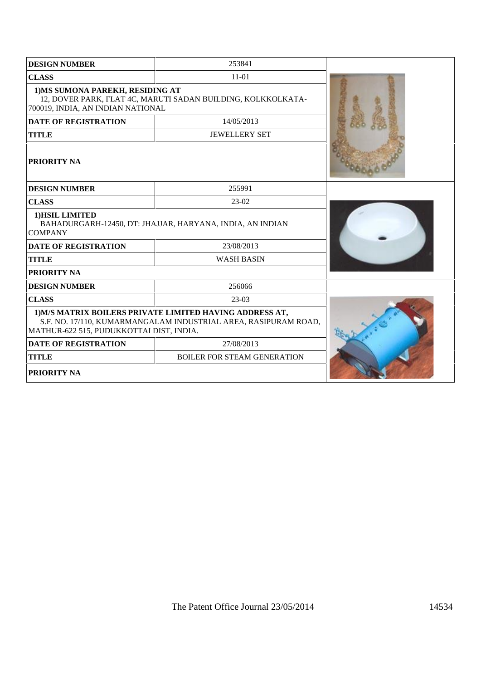| <b>DESIGN NUMBER</b>                                                                                                                                                    | 253841                             |  |
|-------------------------------------------------------------------------------------------------------------------------------------------------------------------------|------------------------------------|--|
| <b>CLASS</b><br>$11 - 01$                                                                                                                                               |                                    |  |
| 1) MS SUMONA PAREKH, RESIDING AT<br>12, DOVER PARK, FLAT 4C, MARUTI SADAN BUILDING, KOLKKOLKATA-<br>700019, INDIA, AN INDIAN NATIONAL                                   |                                    |  |
| <b>DATE OF REGISTRATION</b>                                                                                                                                             | 14/05/2013                         |  |
| <b>TITLE</b>                                                                                                                                                            | <b>JEWELLERY SET</b>               |  |
| <b>PRIORITY NA</b>                                                                                                                                                      |                                    |  |
| <b>DESIGN NUMBER</b>                                                                                                                                                    | 255991                             |  |
| <b>CLASS</b>                                                                                                                                                            |                                    |  |
| 1) HSIL LIMITED<br>BAHADURGARH-12450, DT: JHAJJAR, HARYANA, INDIA, AN INDIAN<br><b>COMPANY</b>                                                                          |                                    |  |
| <b>DATE OF REGISTRATION</b>                                                                                                                                             | 23/08/2013                         |  |
| <b>TITLE</b>                                                                                                                                                            | <b>WASH BASIN</b>                  |  |
| <b>PRIORITY NA</b>                                                                                                                                                      |                                    |  |
| <b>DESIGN NUMBER</b>                                                                                                                                                    | 256066                             |  |
| <b>CLASS</b>                                                                                                                                                            | 23-03                              |  |
| 1) M/S MATRIX BOILERS PRIVATE LIMITED HAVING ADDRESS AT,<br>S.F. NO. 17/110, KUMARMANGALAM INDUSTRIAL AREA, RASIPURAM ROAD,<br>MATHUR-622 515, PUDUKKOTTAI DIST, INDIA. |                                    |  |
| <b>DATE OF REGISTRATION</b>                                                                                                                                             | 27/08/2013                         |  |
| <b>TITLE</b>                                                                                                                                                            | <b>BOILER FOR STEAM GENERATION</b> |  |
| <b>PRIORITY NA</b>                                                                                                                                                      |                                    |  |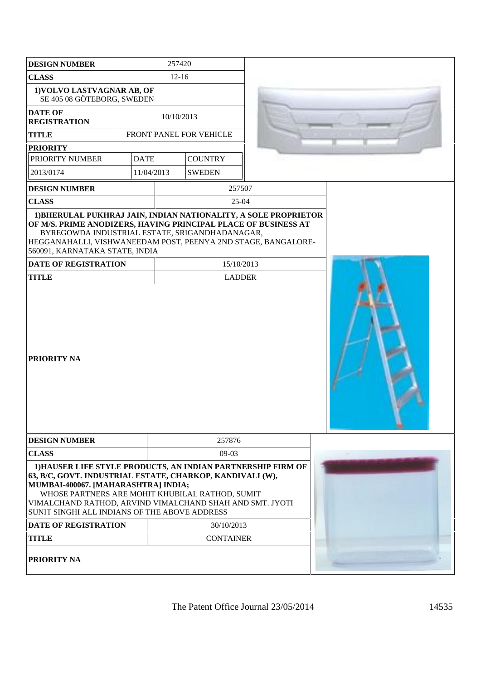| <b>DESIGN NUMBER</b>                                                                                                                                                                                                                                                                                                             | 257420           |            |                             |  |  |
|----------------------------------------------------------------------------------------------------------------------------------------------------------------------------------------------------------------------------------------------------------------------------------------------------------------------------------|------------------|------------|-----------------------------|--|--|
| <b>CLASS</b>                                                                                                                                                                                                                                                                                                                     | $12 - 16$        |            |                             |  |  |
| 1) VOLVO LASTVAGNAR AB, OF<br>SE 405 08 GÖTEBORG, SWEDEN                                                                                                                                                                                                                                                                         |                  |            |                             |  |  |
| <b>DATE OF</b><br><b>REGISTRATION</b>                                                                                                                                                                                                                                                                                            |                  | 10/10/2013 |                             |  |  |
| <b>TITLE</b>                                                                                                                                                                                                                                                                                                                     |                  |            | FRONT PANEL FOR VEHICLE     |  |  |
| <b>PRIORITY</b>                                                                                                                                                                                                                                                                                                                  |                  |            |                             |  |  |
| PRIORITY NUMBER                                                                                                                                                                                                                                                                                                                  | <b>DATE</b>      |            | <b>COUNTRY</b>              |  |  |
| 2013/0174                                                                                                                                                                                                                                                                                                                        | 11/04/2013       |            | <b>SWEDEN</b>               |  |  |
| <b>DESIGN NUMBER</b>                                                                                                                                                                                                                                                                                                             |                  |            | 257507                      |  |  |
| <b>CLASS</b>                                                                                                                                                                                                                                                                                                                     |                  |            | $25-04$                     |  |  |
| 1) BHERULAL PUKHRAJ JAIN, INDIAN NATIONALITY, A SOLE PROPRIETOR<br>OF M/S. PRIME ANODIZERS, HAVING PRINCIPAL PLACE OF BUSINESS AT<br>BYREGOWDA INDUSTRIAL ESTATE, SRIGANDHADANAGAR,<br>HEGGANAHALLI, VISHWANEEDAM POST, PEENYA 2ND STAGE, BANGALORE-<br>560091, KARNATAKA STATE, INDIA                                           |                  |            |                             |  |  |
| <b>DATE OF REGISTRATION</b><br><b>TITLE</b>                                                                                                                                                                                                                                                                                      |                  |            | 15/10/2013<br><b>LADDER</b> |  |  |
| <b>PRIORITY NA</b>                                                                                                                                                                                                                                                                                                               |                  |            |                             |  |  |
| <b>DESIGN NUMBER</b>                                                                                                                                                                                                                                                                                                             |                  |            | 257876                      |  |  |
| <b>CLASS</b>                                                                                                                                                                                                                                                                                                                     |                  |            | $09-03$                     |  |  |
| 1) HAUSER LIFE STYLE PRODUCTS, AN INDIAN PARTNERSHIP FIRM OF<br>63, B/C, GOVT. INDUSTRIAL ESTATE, CHARKOP, KANDIVALI (W),<br>MUMBAI-400067. [MAHARASHTRA] INDIA;<br>WHOSE PARTNERS ARE MOHIT KHUBILAL RATHOD, SUMIT<br>VIMALCHAND RATHOD, ARVIND VIMALCHAND SHAH AND SMT. JYOTI<br>SUNIT SINGHI ALL INDIANS OF THE ABOVE ADDRESS |                  |            |                             |  |  |
| DATE OF REGISTRATION                                                                                                                                                                                                                                                                                                             |                  |            | 30/10/2013                  |  |  |
| <b>TITLE</b>                                                                                                                                                                                                                                                                                                                     | <b>CONTAINER</b> |            |                             |  |  |
| <b>PRIORITY NA</b>                                                                                                                                                                                                                                                                                                               |                  |            |                             |  |  |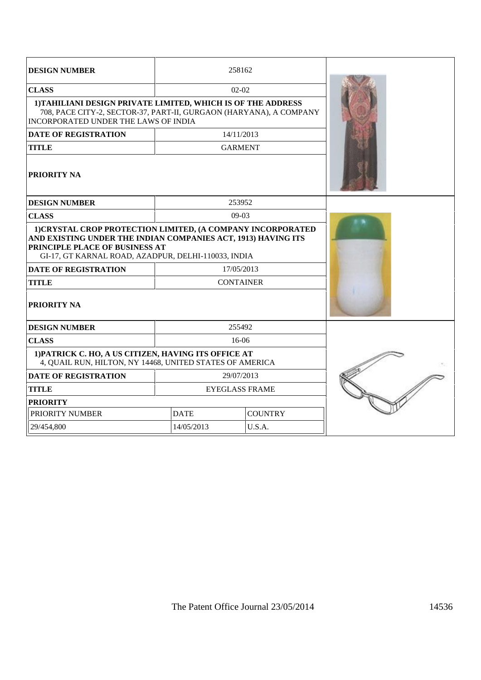| <b>DESIGN NUMBER</b>                                                                                                                                                                                                  | 258162                |                |  |
|-----------------------------------------------------------------------------------------------------------------------------------------------------------------------------------------------------------------------|-----------------------|----------------|--|
| <b>CLASS</b>                                                                                                                                                                                                          | $02 - 02$             |                |  |
| 1) TAHILIANI DESIGN PRIVATE LIMITED, WHICH IS OF THE ADDRESS<br>708, PACE CITY-2, SECTOR-37, PART-II, GURGAON (HARYANA), A COMPANY<br><b>INCORPORATED UNDER THE LAWS OF INDIA</b>                                     |                       |                |  |
| <b>DATE OF REGISTRATION</b>                                                                                                                                                                                           | 14/11/2013            |                |  |
| <b>TITLE</b>                                                                                                                                                                                                          | <b>GARMENT</b>        |                |  |
| <b>PRIORITY NA</b>                                                                                                                                                                                                    |                       |                |  |
| <b>DESIGN NUMBER</b>                                                                                                                                                                                                  | 253952                |                |  |
| <b>CLASS</b>                                                                                                                                                                                                          | $09-03$               |                |  |
| 1) CRYSTAL CROP PROTECTION LIMITED, (A COMPANY INCORPORATED<br>AND EXISTING UNDER THE INDIAN COMPANIES ACT, 1913) HAVING ITS<br>PRINCIPLE PLACE OF BUSINESS AT<br>GI-17, GT KARNAL ROAD, AZADPUR, DELHI-110033, INDIA |                       |                |  |
| <b>DATE OF REGISTRATION</b>                                                                                                                                                                                           | 17/05/2013            |                |  |
| <b>TITLE</b>                                                                                                                                                                                                          | <b>CONTAINER</b>      |                |  |
| <b>PRIORITY NA</b>                                                                                                                                                                                                    |                       |                |  |
| <b>DESIGN NUMBER</b>                                                                                                                                                                                                  | 255492                |                |  |
| <b>CLASS</b>                                                                                                                                                                                                          | $16-06$               |                |  |
| 1) PATRICK C. HO, A US CITIZEN, HAVING ITS OFFICE AT<br>4, QUAIL RUN, HILTON, NY 14468, UNITED STATES OF AMERICA                                                                                                      |                       |                |  |
| <b>DATE OF REGISTRATION</b>                                                                                                                                                                                           | 29/07/2013            |                |  |
| <b>TITLE</b>                                                                                                                                                                                                          | <b>EYEGLASS FRAME</b> |                |  |
| <b>PRIORITY</b>                                                                                                                                                                                                       |                       |                |  |
| PRIORITY NUMBER                                                                                                                                                                                                       | <b>DATE</b>           | <b>COUNTRY</b> |  |
| 29/454,800                                                                                                                                                                                                            | 14/05/2013            | U.S.A.         |  |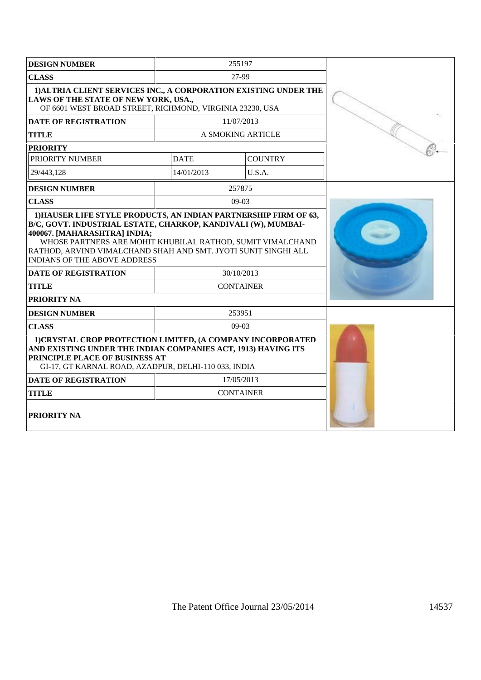| <b>DESIGN NUMBER</b>                                                                                                                                                                                                                                                                                                               | 255197                         |                |  |
|------------------------------------------------------------------------------------------------------------------------------------------------------------------------------------------------------------------------------------------------------------------------------------------------------------------------------------|--------------------------------|----------------|--|
| <b>CLASS</b>                                                                                                                                                                                                                                                                                                                       | 27-99                          |                |  |
| 1) ALTRIA CLIENT SERVICES INC., A CORPORATION EXISTING UNDER THE<br>LAWS OF THE STATE OF NEW YORK, USA.,<br>OF 6601 WEST BROAD STREET, RICHMOND, VIRGINIA 23230, USA                                                                                                                                                               |                                |                |  |
| <b>DATE OF REGISTRATION</b>                                                                                                                                                                                                                                                                                                        | 11/07/2013                     |                |  |
| <b>TITLE</b>                                                                                                                                                                                                                                                                                                                       | A SMOKING ARTICLE              |                |  |
| <b>PRIORITY</b>                                                                                                                                                                                                                                                                                                                    |                                |                |  |
| PRIORITY NUMBER                                                                                                                                                                                                                                                                                                                    | <b>DATE</b>                    | <b>COUNTRY</b> |  |
| 29/443.128                                                                                                                                                                                                                                                                                                                         | 14/01/2013                     | U.S.A.         |  |
| <b>DESIGN NUMBER</b>                                                                                                                                                                                                                                                                                                               | 257875                         |                |  |
| <b>CLASS</b>                                                                                                                                                                                                                                                                                                                       | 09-03                          |                |  |
| B/C, GOVT. INDUSTRIAL ESTATE, CHARKOP, KANDIVALI (W), MUMBAI-<br>400067. [MAHARASHTRA] INDIA;<br>WHOSE PARTNERS ARE MOHIT KHUBILAL RATHOD, SUMIT VIMALCHAND<br>RATHOD, ARVIND VIMALCHAND SHAH AND SMT. JYOTI SUNIT SINGHI ALL<br><b>INDIANS OF THE ABOVE ADDRESS</b><br><b>DATE OF REGISTRATION</b><br><b>TITLE</b><br>PRIORITY NA | 30/10/2013<br><b>CONTAINER</b> |                |  |
| <b>DESIGN NUMBER</b>                                                                                                                                                                                                                                                                                                               | 253951                         |                |  |
| <b>CLASS</b>                                                                                                                                                                                                                                                                                                                       | $09-03$                        |                |  |
| 1) CRYSTAL CROP PROTECTION LIMITED, (A COMPANY INCORPORATED<br>AND EXISTING UNDER THE INDIAN COMPANIES ACT, 1913) HAVING ITS<br>PRINCIPLE PLACE OF BUSINESS AT<br>GI-17, GT KARNAL ROAD, AZADPUR, DELHI-110 033, INDIA                                                                                                             |                                |                |  |
| <b>DATE OF REGISTRATION</b>                                                                                                                                                                                                                                                                                                        | 17/05/2013                     |                |  |
| <b>TITLE</b>                                                                                                                                                                                                                                                                                                                       | <b>CONTAINER</b>               |                |  |
| PRIORITY NA                                                                                                                                                                                                                                                                                                                        |                                |                |  |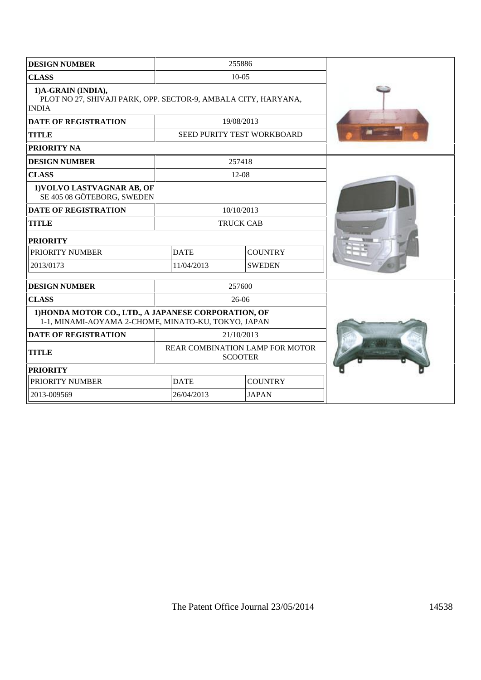| <b>DESIGN NUMBER</b>                                                                                        |                                                   | 255886                     |  |
|-------------------------------------------------------------------------------------------------------------|---------------------------------------------------|----------------------------|--|
| <b>CLASS</b>                                                                                                |                                                   | $10-0.5$                   |  |
| 1)A-GRAIN (INDIA),<br>PLOT NO 27, SHIVAJI PARK, OPP. SECTOR-9, AMBALA CITY, HARYANA,<br><b>INDIA</b>        |                                                   |                            |  |
| <b>DATE OF REGISTRATION</b>                                                                                 |                                                   | 19/08/2013                 |  |
| <b>TITLE</b>                                                                                                |                                                   | SEED PURITY TEST WORKBOARD |  |
| PRIORITY NA                                                                                                 |                                                   |                            |  |
| <b>DESIGN NUMBER</b>                                                                                        |                                                   | 257418                     |  |
| <b>CLASS</b>                                                                                                |                                                   | 12-08                      |  |
| 1) VOLVO LASTVAGNAR AB, OF<br>SE 405 08 GÖTEBORG, SWEDEN                                                    |                                                   |                            |  |
| <b>DATE OF REGISTRATION</b>                                                                                 |                                                   | 10/10/2013                 |  |
| <b>TITLE</b>                                                                                                |                                                   | <b>TRUCK CAB</b>           |  |
| <b>PRIORITY</b>                                                                                             |                                                   |                            |  |
| PRIORITY NUMBER                                                                                             | <b>DATE</b>                                       | <b>COUNTRY</b>             |  |
| 2013/0173                                                                                                   | 11/04/2013                                        | <b>SWEDEN</b>              |  |
| <b>DESIGN NUMBER</b>                                                                                        |                                                   | 257600                     |  |
| <b>CLASS</b>                                                                                                |                                                   | $26-06$                    |  |
| 1) HONDA MOTOR CO., LTD., A JAPANESE CORPORATION, OF<br>1-1, MINAMI-AOYAMA 2-CHOME, MINATO-KU, TOKYO, JAPAN |                                                   |                            |  |
| <b>DATE OF REGISTRATION</b>                                                                                 |                                                   | 21/10/2013                 |  |
| <b>TITLE</b>                                                                                                | REAR COMBINATION LAMP FOR MOTOR<br><b>SCOOTER</b> |                            |  |
| <b>PRIORITY</b>                                                                                             |                                                   |                            |  |
| PRIORITY NUMBER                                                                                             | <b>DATE</b>                                       | <b>COUNTRY</b>             |  |
| 2013-009569                                                                                                 | 26/04/2013                                        | <b>JAPAN</b>               |  |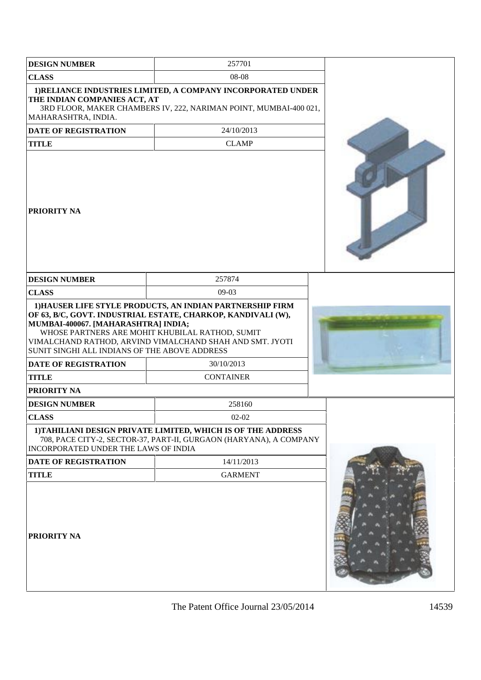| <b>DESIGN NUMBER</b>                                                                                                                                      | 257701                                                                                                                                                                                                        |  |
|-----------------------------------------------------------------------------------------------------------------------------------------------------------|---------------------------------------------------------------------------------------------------------------------------------------------------------------------------------------------------------------|--|
| <b>CLASS</b>                                                                                                                                              | 08-08                                                                                                                                                                                                         |  |
| THE INDIAN COMPANIES ACT, AT<br>MAHARASHTRA, INDIA.                                                                                                       | 1) RELIANCE INDUSTRIES LIMITED, A COMPANY INCORPORATED UNDER<br>3RD FLOOR, MAKER CHAMBERS IV, 222, NARIMAN POINT, MUMBAI-400 021,                                                                             |  |
| <b>DATE OF REGISTRATION</b>                                                                                                                               | 24/10/2013                                                                                                                                                                                                    |  |
| <b>TITLE</b>                                                                                                                                              | <b>CLAMP</b>                                                                                                                                                                                                  |  |
| <b>PRIORITY NA</b>                                                                                                                                        |                                                                                                                                                                                                               |  |
| <b>DESIGN NUMBER</b>                                                                                                                                      | 257874                                                                                                                                                                                                        |  |
| <b>CLASS</b>                                                                                                                                              | 09-03                                                                                                                                                                                                         |  |
| MUMBAI-400067. [MAHARASHTRA] INDIA;<br>SUNIT SINGHI ALL INDIANS OF THE ABOVE ADDRESS<br><b>DATE OF REGISTRATION</b><br><b>TITLE</b><br><b>PRIORITY NA</b> | OF 63, B/C, GOVT. INDUSTRIAL ESTATE, CHARKOP, KANDIVALI (W),<br>WHOSE PARTNERS ARE MOHIT KHUBILAL RATHOD, SUMIT<br>VIMALCHAND RATHOD, ARVIND VIMALCHAND SHAH AND SMT. JYOTI<br>30/10/2013<br><b>CONTAINER</b> |  |
| <b>DESIGN NUMBER</b>                                                                                                                                      | 258160                                                                                                                                                                                                        |  |
| <b>CLASS</b>                                                                                                                                              | $02 - 02$                                                                                                                                                                                                     |  |
| INCORPORATED UNDER THE LAWS OF INDIA                                                                                                                      | 1) TAHILIANI DESIGN PRIVATE LIMITED, WHICH IS OF THE ADDRESS<br>708, PACE CITY-2, SECTOR-37, PART-II, GURGAON (HARYANA), A COMPANY                                                                            |  |
| <b>DATE OF REGISTRATION</b>                                                                                                                               | 14/11/2013                                                                                                                                                                                                    |  |
| <b>TITLE</b>                                                                                                                                              | <b>GARMENT</b>                                                                                                                                                                                                |  |
| <b>PRIORITY NA</b>                                                                                                                                        |                                                                                                                                                                                                               |  |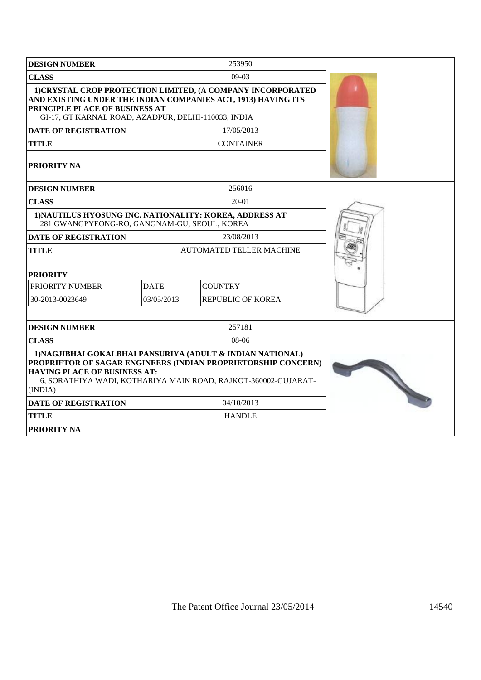| <b>DESIGN NUMBER</b>                                                                                                                                                                                                  |             | 253950                                                                                                                                                                                        |  |
|-----------------------------------------------------------------------------------------------------------------------------------------------------------------------------------------------------------------------|-------------|-----------------------------------------------------------------------------------------------------------------------------------------------------------------------------------------------|--|
| <b>CLASS</b>                                                                                                                                                                                                          |             | $09-03$                                                                                                                                                                                       |  |
| 1) CRYSTAL CROP PROTECTION LIMITED, (A COMPANY INCORPORATED<br>AND EXISTING UNDER THE INDIAN COMPANIES ACT, 1913) HAVING ITS<br>PRINCIPLE PLACE OF BUSINESS AT<br>GI-17, GT KARNAL ROAD, AZADPUR, DELHI-110033, INDIA |             |                                                                                                                                                                                               |  |
| <b>DATE OF REGISTRATION</b>                                                                                                                                                                                           |             | 17/05/2013                                                                                                                                                                                    |  |
| <b>TITLE</b>                                                                                                                                                                                                          |             | <b>CONTAINER</b>                                                                                                                                                                              |  |
| <b>PRIORITY NA</b>                                                                                                                                                                                                    |             |                                                                                                                                                                                               |  |
| <b>DESIGN NUMBER</b>                                                                                                                                                                                                  |             | 256016                                                                                                                                                                                        |  |
| <b>CLASS</b>                                                                                                                                                                                                          |             | $20-01$                                                                                                                                                                                       |  |
| 1) NAUTILUS HYOSUNG INC. NATIONALITY: KOREA, ADDRESS AT<br>281 GWANGPYEONG-RO, GANGNAM-GU, SEOUL, KOREA                                                                                                               |             |                                                                                                                                                                                               |  |
| <b>DATE OF REGISTRATION</b>                                                                                                                                                                                           |             | 23/08/2013                                                                                                                                                                                    |  |
| <b>TITLE</b>                                                                                                                                                                                                          |             | <b>AUTOMATED TELLER MACHINE</b>                                                                                                                                                               |  |
| <b>PRIORITY</b>                                                                                                                                                                                                       |             |                                                                                                                                                                                               |  |
| PRIORITY NUMBER                                                                                                                                                                                                       | <b>DATE</b> | <b>COUNTRY</b>                                                                                                                                                                                |  |
| 30-2013-0023649                                                                                                                                                                                                       | 03/05/2013  | REPUBLIC OF KOREA                                                                                                                                                                             |  |
|                                                                                                                                                                                                                       |             |                                                                                                                                                                                               |  |
| <b>DESIGN NUMBER</b>                                                                                                                                                                                                  |             | 257181                                                                                                                                                                                        |  |
| <b>CLASS</b>                                                                                                                                                                                                          |             | 08-06                                                                                                                                                                                         |  |
| <b>HAVING PLACE OF BUSINESS AT:</b><br>(INDIA)                                                                                                                                                                        |             | 1) NAGJIBHAI GOKALBHAI PANSURIYA (ADULT & INDIAN NATIONAL)<br>PROPRIETOR OF SAGAR ENGINEERS (INDIAN PROPRIETORSHIP CONCERN)<br>6, SORATHIYA WADI, KOTHARIYA MAIN ROAD, RAJKOT-360002-GUJARAT- |  |
| <b>DATE OF REGISTRATION</b><br>04/10/2013                                                                                                                                                                             |             |                                                                                                                                                                                               |  |
| <b>TITLE</b>                                                                                                                                                                                                          |             | <b>HANDLE</b>                                                                                                                                                                                 |  |
| <b>PRIORITY NA</b>                                                                                                                                                                                                    |             |                                                                                                                                                                                               |  |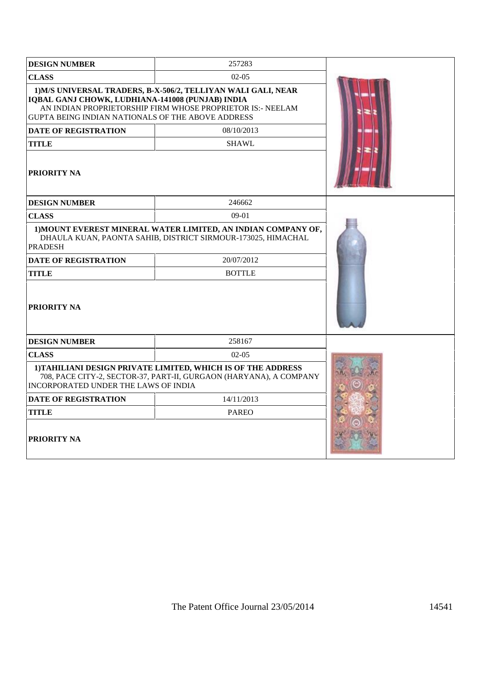| <b>DESIGN NUMBER</b>                                                                                  | 257283                                                                                                                             |  |
|-------------------------------------------------------------------------------------------------------|------------------------------------------------------------------------------------------------------------------------------------|--|
| <b>CLASS</b>                                                                                          | $02-05$                                                                                                                            |  |
| IQBAL GANJ CHOWK, LUDHIANA-141008 (PUNJAB) INDIA<br>GUPTA BEING INDIAN NATIONALS OF THE ABOVE ADDRESS | 1) M/S UNIVERSAL TRADERS, B-X-506/2, TELLIYAN WALI GALI, NEAR<br>AN INDIAN PROPRIETORSHIP FIRM WHOSE PROPRIETOR IS:- NEELAM        |  |
| <b>DATE OF REGISTRATION</b>                                                                           | 08/10/2013                                                                                                                         |  |
| <b>TITLE</b>                                                                                          | <b>SHAWL</b>                                                                                                                       |  |
| PRIORITY NA                                                                                           |                                                                                                                                    |  |
| <b>DESIGN NUMBER</b>                                                                                  | 246662                                                                                                                             |  |
| <b>CLASS</b>                                                                                          | 09-01                                                                                                                              |  |
| <b>PRADESH</b>                                                                                        | 1) MOUNT EVEREST MINERAL WATER LIMITED, AN INDIAN COMPANY OF,<br>DHAULA KUAN, PAONTA SAHIB, DISTRICT SIRMOUR-173025, HIMACHAL      |  |
| <b>DATE OF REGISTRATION</b>                                                                           | 20/07/2012                                                                                                                         |  |
| TITLE                                                                                                 | <b>BOTTLE</b>                                                                                                                      |  |
| <b>PRIORITY NA</b>                                                                                    |                                                                                                                                    |  |
| <b>DESIGN NUMBER</b>                                                                                  | 258167                                                                                                                             |  |
| <b>CLASS</b>                                                                                          | $02-05$                                                                                                                            |  |
| INCORPORATED UNDER THE LAWS OF INDIA                                                                  | 1) TAHILIANI DESIGN PRIVATE LIMITED, WHICH IS OF THE ADDRESS<br>708, PACE CITY-2, SECTOR-37, PART-II, GURGAON (HARYANA), A COMPANY |  |
| <b>DATE OF REGISTRATION</b>                                                                           | 14/11/2013                                                                                                                         |  |
| <b>TITLE</b>                                                                                          | <b>PAREO</b>                                                                                                                       |  |
| <b>PRIORITY NA</b>                                                                                    |                                                                                                                                    |  |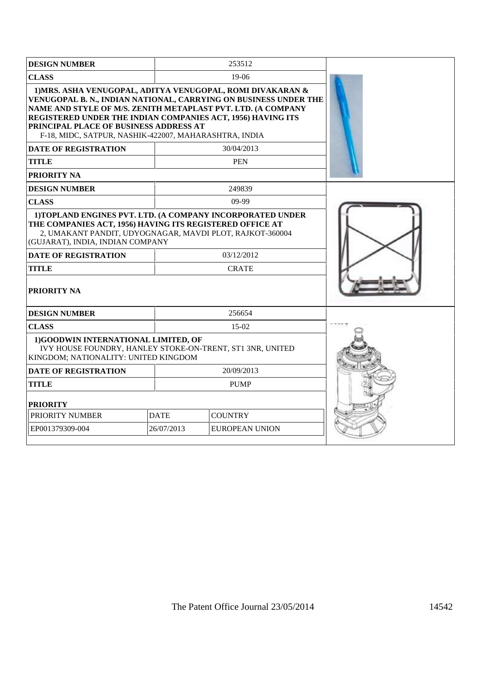| <b>DESIGN NUMBER</b>                                                                                                                                                                                                                                                          |             | 253512                                                                                                                                                     |  |
|-------------------------------------------------------------------------------------------------------------------------------------------------------------------------------------------------------------------------------------------------------------------------------|-------------|------------------------------------------------------------------------------------------------------------------------------------------------------------|--|
| <b>CLASS</b>                                                                                                                                                                                                                                                                  |             | $19-06$                                                                                                                                                    |  |
| NAME AND STYLE OF M/S. ZENITH METAPLAST PVT. LTD. (A COMPANY<br>REGISTERED UNDER THE INDIAN COMPANIES ACT, 1956) HAVING ITS<br>PRINCIPAL PLACE OF BUSINESS ADDRESS AT<br>F-18, MIDC, SATPUR, NASHIK-422007, MAHARASHTRA, INDIA<br><b>DATE OF REGISTRATION</b><br><b>TITLE</b> |             | 1) MRS. ASHA VENUGOPAL, ADITYA VENUGOPAL, ROMI DIVAKARAN &<br>VENUGOPAL B. N., INDIAN NATIONAL, CARRYING ON BUSINESS UNDER THE<br>30/04/2013<br><b>PEN</b> |  |
| <b>PRIORITY NA</b>                                                                                                                                                                                                                                                            |             |                                                                                                                                                            |  |
| <b>DESIGN NUMBER</b>                                                                                                                                                                                                                                                          |             | 249839                                                                                                                                                     |  |
| <b>CLASS</b>                                                                                                                                                                                                                                                                  |             | $09-99$                                                                                                                                                    |  |
| THE COMPANIES ACT, 1956) HAVING ITS REGISTERED OFFICE AT<br>2, UMAKANT PANDIT, UDYOGNAGAR, MAVDI PLOT, RAJKOT-360004<br>(GUJARAT), INDIA, INDIAN COMPANY<br><b>DATE OF REGISTRATION</b><br><b>TITLE</b><br><b>PRIORITY NA</b>                                                 |             | 1) TOPLAND ENGINES PVT. LTD. (A COMPANY INCORPORATED UNDER<br>03/12/2012<br><b>CRATE</b>                                                                   |  |
| <b>DESIGN NUMBER</b>                                                                                                                                                                                                                                                          |             | 256654                                                                                                                                                     |  |
| <b>CLASS</b>                                                                                                                                                                                                                                                                  |             | $15-02$                                                                                                                                                    |  |
| 1)GOODWIN INTERNATIONAL LIMITED, OF<br>IVY HOUSE FOUNDRY, HANLEY STOKE-ON-TRENT, ST1 3NR, UNITED<br>KINGDOM; NATIONALITY: UNITED KINGDOM                                                                                                                                      |             |                                                                                                                                                            |  |
| <b>DATE OF REGISTRATION</b>                                                                                                                                                                                                                                                   |             | 20/09/2013                                                                                                                                                 |  |
| <b>TITLE</b>                                                                                                                                                                                                                                                                  |             | <b>PUMP</b>                                                                                                                                                |  |
| <b>PRIORITY</b>                                                                                                                                                                                                                                                               |             |                                                                                                                                                            |  |
| PRIORITY NUMBER                                                                                                                                                                                                                                                               | <b>DATE</b> | <b>COUNTRY</b>                                                                                                                                             |  |
| EP001379309-004                                                                                                                                                                                                                                                               | 26/07/2013  | EUROPEAN UNION                                                                                                                                             |  |
|                                                                                                                                                                                                                                                                               |             |                                                                                                                                                            |  |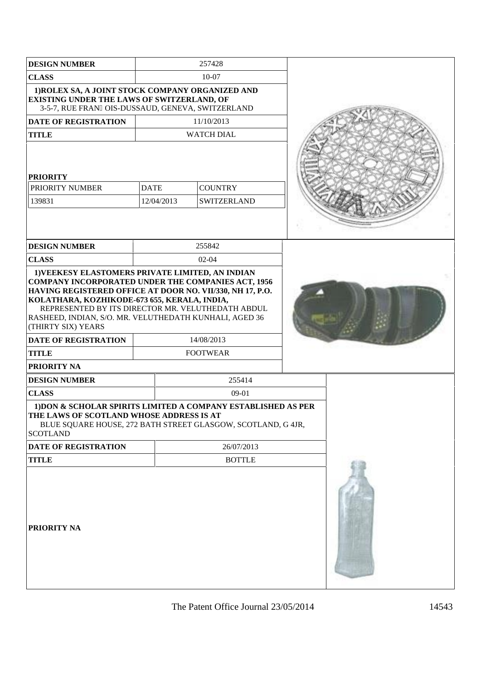| <b>DESIGN NUMBER</b>                                                                                                                                                                                                                                                                                        |                 | 257428            |  |
|-------------------------------------------------------------------------------------------------------------------------------------------------------------------------------------------------------------------------------------------------------------------------------------------------------------|-----------------|-------------------|--|
| <b>CLASS</b>                                                                                                                                                                                                                                                                                                | $10 - 07$       |                   |  |
| 1) ROLEX SA, A JOINT STOCK COMPANY ORGANIZED AND<br>EXISTING UNDER THE LAWS OF SWITZERLAND, OF<br>3-5-7, RUE FRAN OIS-DUSSAUD, GENEVA, SWITZERLAND                                                                                                                                                          |                 |                   |  |
| <b>DATE OF REGISTRATION</b>                                                                                                                                                                                                                                                                                 |                 | 11/10/2013        |  |
| <b>TITLE</b>                                                                                                                                                                                                                                                                                                |                 | <b>WATCH DIAL</b> |  |
| <b>PRIORITY</b>                                                                                                                                                                                                                                                                                             |                 |                   |  |
| PRIORITY NUMBER                                                                                                                                                                                                                                                                                             | <b>DATE</b>     | <b>COUNTRY</b>    |  |
| 139831                                                                                                                                                                                                                                                                                                      | 12/04/2013      | SWITZERLAND       |  |
| <b>DESIGN NUMBER</b>                                                                                                                                                                                                                                                                                        |                 | 255842            |  |
| <b>CLASS</b>                                                                                                                                                                                                                                                                                                |                 | $02 - 04$         |  |
| <b>COMPANY INCORPORATED UNDER THE COMPANIES ACT, 1956</b><br>HAVING REGISTERED OFFICE AT DOOR NO. VII/330, NH 17, P.O.<br>KOLATHARA, KOZHIKODE-673 655, KERALA, INDIA,<br>REPRESENTED BY ITS DIRECTOR MR. VELUTHEDATH ABDUL<br>RASHEED, INDIAN, S/O. MR. VELUTHEDATH KUNHALI, AGED 36<br>(THIRTY SIX) YEARS |                 |                   |  |
| <b>DATE OF REGISTRATION</b>                                                                                                                                                                                                                                                                                 | 14/08/2013      |                   |  |
| <b>TITLE</b>                                                                                                                                                                                                                                                                                                | <b>FOOTWEAR</b> |                   |  |
| PRIORITY NA                                                                                                                                                                                                                                                                                                 |                 |                   |  |
| <b>DESIGN NUMBER</b>                                                                                                                                                                                                                                                                                        |                 | 255414            |  |
| <b>CLASS</b>                                                                                                                                                                                                                                                                                                |                 | 09-01             |  |
| 1) DON & SCHOLAR SPIRITS LIMITED A COMPANY ESTABLISHED AS PER<br>THE LAWS OF SCOTLAND WHOSE ADDRESS IS AT<br>BLUE SQUARE HOUSE, 272 BATH STREET GLASGOW, SCOTLAND, G 4JR,<br><b>SCOTLAND</b>                                                                                                                |                 |                   |  |
| DATE OF REGISTRATION                                                                                                                                                                                                                                                                                        |                 | 26/07/2013        |  |
| <b>TITLE</b>                                                                                                                                                                                                                                                                                                |                 | <b>BOTTLE</b>     |  |
| PRIORITY NA                                                                                                                                                                                                                                                                                                 |                 |                   |  |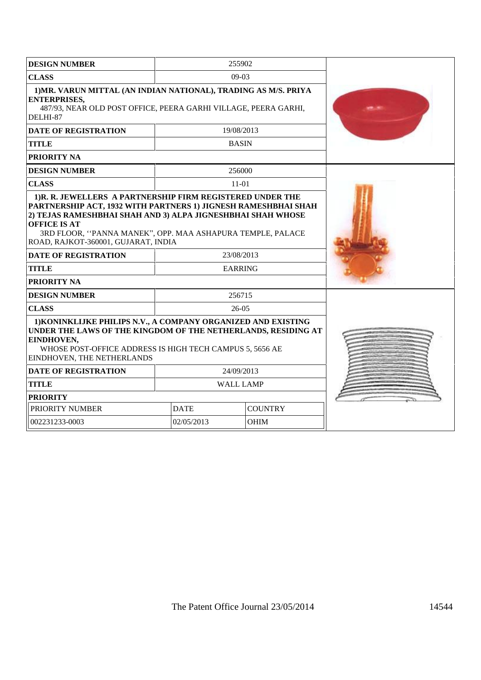| <b>DESIGN NUMBER</b>                                                                                                                                                                                                                                                                                                   | 255902                        |             |  |
|------------------------------------------------------------------------------------------------------------------------------------------------------------------------------------------------------------------------------------------------------------------------------------------------------------------------|-------------------------------|-------------|--|
| <b>CLASS</b>                                                                                                                                                                                                                                                                                                           | $09-03$                       |             |  |
| 1) MR. VARUN MITTAL (AN INDIAN NATIONAL), TRADING AS M/S. PRIYA<br><b>ENTERPRISES,</b><br>487/93, NEAR OLD POST OFFICE, PEERA GARHI VILLAGE, PEERA GARHI,<br>DELHI-87                                                                                                                                                  |                               |             |  |
| <b>DATE OF REGISTRATION</b>                                                                                                                                                                                                                                                                                            | 19/08/2013                    |             |  |
| <b>TITLE</b>                                                                                                                                                                                                                                                                                                           | <b>BASIN</b>                  |             |  |
| <b>PRIORITY NA</b>                                                                                                                                                                                                                                                                                                     |                               |             |  |
| <b>DESIGN NUMBER</b>                                                                                                                                                                                                                                                                                                   | 256000                        |             |  |
| <b>CLASS</b>                                                                                                                                                                                                                                                                                                           | $11-01$                       |             |  |
| 1)R. R. JEWELLERS A PARTNERSHIP FIRM REGISTERED UNDER THE<br>PARTNERSHIP ACT, 1932 WITH PARTNERS 1) JIGNESH RAMESHBHAI SHAH<br>2) TEJAS RAMESHBHAI SHAH AND 3) ALPA JIGNESHBHAI SHAH WHOSE<br><b>OFFICE IS AT</b><br>3RD FLOOR, "PANNA MANEK", OPP. MAA ASHAPURA TEMPLE, PALACE<br>ROAD, RAJKOT-360001, GUJARAT, INDIA |                               |             |  |
| <b>DATE OF REGISTRATION</b>                                                                                                                                                                                                                                                                                            | 23/08/2013                    |             |  |
| <b>TITLE</b>                                                                                                                                                                                                                                                                                                           | <b>EARRING</b>                |             |  |
| <b>PRIORITY NA</b>                                                                                                                                                                                                                                                                                                     |                               |             |  |
| <b>DESIGN NUMBER</b>                                                                                                                                                                                                                                                                                                   | 256715                        |             |  |
| <b>CLASS</b>                                                                                                                                                                                                                                                                                                           | 26-05                         |             |  |
| 1) KONINKLIJKE PHILIPS N.V., A COMPANY ORGANIZED AND EXISTING<br>UNDER THE LAWS OF THE KINGDOM OF THE NETHERLANDS, RESIDING AT<br>EINDHOVEN,<br>WHOSE POST-OFFICE ADDRESS IS HIGH TECH CAMPUS 5, 5656 AE<br><b>EINDHOVEN, THE NETHERLANDS</b>                                                                          |                               |             |  |
| <b>DATE OF REGISTRATION</b>                                                                                                                                                                                                                                                                                            | 24/09/2013                    |             |  |
| <b>TITLE</b>                                                                                                                                                                                                                                                                                                           | <b>WALL LAMP</b>              |             |  |
| <b>PRIORITY</b>                                                                                                                                                                                                                                                                                                        |                               |             |  |
| PRIORITY NUMBER                                                                                                                                                                                                                                                                                                        | <b>COUNTRY</b><br><b>DATE</b> |             |  |
| 002231233-0003                                                                                                                                                                                                                                                                                                         | 02/05/2013                    | <b>OHIM</b> |  |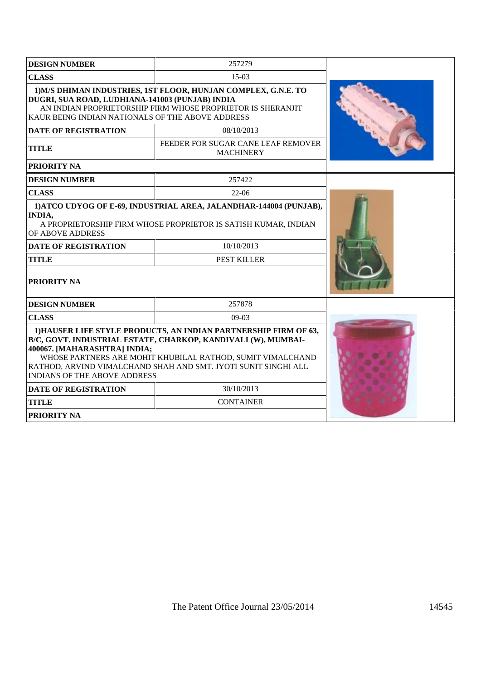| <b>DESIGN NUMBER</b>                                                                                                                                                                                                                                                                                                                     | 257279                                                 |  |
|------------------------------------------------------------------------------------------------------------------------------------------------------------------------------------------------------------------------------------------------------------------------------------------------------------------------------------------|--------------------------------------------------------|--|
| <b>CLASS</b>                                                                                                                                                                                                                                                                                                                             | $15-03$                                                |  |
| 1) M/S DHIMAN INDUSTRIES, 1ST FLOOR, HUNJAN COMPLEX, G.N.E. TO<br>DUGRI, SUA ROAD, LUDHIANA-141003 (PUNJAB) INDIA<br>AN INDIAN PROPRIETORSHIP FIRM WHOSE PROPRIETOR IS SHERANJIT<br>KAUR BEING INDIAN NATIONALS OF THE ABOVE ADDRESS                                                                                                     |                                                        |  |
| <b>DATE OF REGISTRATION</b>                                                                                                                                                                                                                                                                                                              | 08/10/2013                                             |  |
| <b>TITLE</b>                                                                                                                                                                                                                                                                                                                             | FEEDER FOR SUGAR CANE LEAF REMOVER<br><b>MACHINERY</b> |  |
| PRIORITY NA                                                                                                                                                                                                                                                                                                                              |                                                        |  |
| <b>DESIGN NUMBER</b>                                                                                                                                                                                                                                                                                                                     | 257422                                                 |  |
| <b>CLASS</b>                                                                                                                                                                                                                                                                                                                             | $22-06$                                                |  |
| 1) ATCO UDYOG OF E-69, INDUSTRIAL AREA, JALANDHAR-144004 (PUNJAB),<br><b>INDIA,</b><br>A PROPRIETORSHIP FIRM WHOSE PROPRIETOR IS SATISH KUMAR, INDIAN<br>OF ABOVE ADDRESS                                                                                                                                                                |                                                        |  |
| <b>DATE OF REGISTRATION</b>                                                                                                                                                                                                                                                                                                              | 10/10/2013                                             |  |
| <b>TITLE</b>                                                                                                                                                                                                                                                                                                                             | PEST KILLER                                            |  |
| <b>PRIORITY NA</b>                                                                                                                                                                                                                                                                                                                       |                                                        |  |
| <b>DESIGN NUMBER</b>                                                                                                                                                                                                                                                                                                                     | 257878                                                 |  |
| <b>CLASS</b>                                                                                                                                                                                                                                                                                                                             | $09-03$                                                |  |
| 1) HAUSER LIFE STYLE PRODUCTS, AN INDIAN PARTNERSHIP FIRM OF 63,<br>B/C, GOVT. INDUSTRIAL ESTATE, CHARKOP, KANDIVALI (W), MUMBAI-<br>400067. [MAHARASHTRA] INDIA;<br>WHOSE PARTNERS ARE MOHIT KHUBILAL RATHOD, SUMIT VIMALCHAND<br>RATHOD, ARVIND VIMALCHAND SHAH AND SMT. JYOTI SUNIT SINGHI ALL<br><b>INDIANS OF THE ABOVE ADDRESS</b> |                                                        |  |
| <b>DATE OF REGISTRATION</b>                                                                                                                                                                                                                                                                                                              | 30/10/2013                                             |  |
| <b>TITLE</b>                                                                                                                                                                                                                                                                                                                             | <b>CONTAINER</b>                                       |  |
| <b>PRIORITY NA</b>                                                                                                                                                                                                                                                                                                                       |                                                        |  |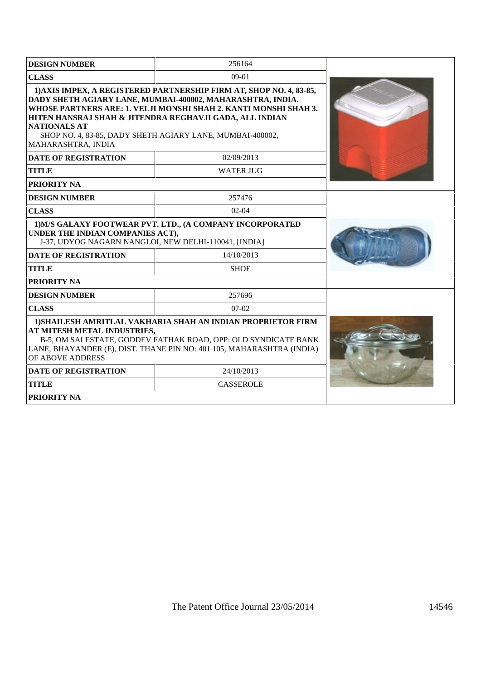| <b>DESIGN NUMBER</b>                                                                                                                                                                                                                                        | 256164                                                                                                                                                                                                                                                                                                                        |  |
|-------------------------------------------------------------------------------------------------------------------------------------------------------------------------------------------------------------------------------------------------------------|-------------------------------------------------------------------------------------------------------------------------------------------------------------------------------------------------------------------------------------------------------------------------------------------------------------------------------|--|
| <b>CLASS</b>                                                                                                                                                                                                                                                | $09-01$                                                                                                                                                                                                                                                                                                                       |  |
| <b>NATIONALS AT</b><br>MAHARASHTRA, INDIA                                                                                                                                                                                                                   | 1) AXIS IMPEX, A REGISTERED PARTNERSHIP FIRM AT, SHOP NO. 4, 83-85,<br>DADY SHETH AGIARY LANE, MUMBAI-400002, MAHARASHTRA, INDIA.<br>WHOSE PARTNERS ARE: 1. VELJI MONSHI SHAH 2. KANTI MONSHI SHAH 3.<br>HITEN HANSRAJ SHAH & JITENDRA REGHAVJI GADA, ALL INDIAN<br>SHOP NO. 4, 83-85, DADY SHETH AGIARY LANE, MUMBAI-400002, |  |
| <b>DATE OF REGISTRATION</b>                                                                                                                                                                                                                                 | 02/09/2013                                                                                                                                                                                                                                                                                                                    |  |
| <b>TITLE</b>                                                                                                                                                                                                                                                | <b>WATER JUG</b>                                                                                                                                                                                                                                                                                                              |  |
| <b>PRIORITY NA</b>                                                                                                                                                                                                                                          |                                                                                                                                                                                                                                                                                                                               |  |
| <b>DESIGN NUMBER</b>                                                                                                                                                                                                                                        | 257476                                                                                                                                                                                                                                                                                                                        |  |
| <b>CLASS</b>                                                                                                                                                                                                                                                | $02 - 04$                                                                                                                                                                                                                                                                                                                     |  |
| UNDER THE INDIAN COMPANIES ACT),<br>J-37, UDYOG NAGARN NANGLOI, NEW DELHI-110041, [INDIA]                                                                                                                                                                   | 1) M/S GALAXY FOOTWEAR PVT. LTD., (A COMPANY INCORPORATED                                                                                                                                                                                                                                                                     |  |
| <b>DATE OF REGISTRATION</b>                                                                                                                                                                                                                                 | 14/10/2013                                                                                                                                                                                                                                                                                                                    |  |
| <b>TITLE</b>                                                                                                                                                                                                                                                | <b>SHOE</b>                                                                                                                                                                                                                                                                                                                   |  |
| <b>PRIORITY NA</b>                                                                                                                                                                                                                                          |                                                                                                                                                                                                                                                                                                                               |  |
| <b>DESIGN NUMBER</b>                                                                                                                                                                                                                                        | 257696                                                                                                                                                                                                                                                                                                                        |  |
| <b>CLASS</b>                                                                                                                                                                                                                                                | $07-02$                                                                                                                                                                                                                                                                                                                       |  |
| 1) SHAILESH AMRITLAL VAKHARIA SHAH AN INDIAN PROPRIETOR FIRM<br>AT MITESH METAL INDUSTRIES,<br>B-5, OM SAI ESTATE, GODDEV FATHAK ROAD, OPP: OLD SYNDICATE BANK<br>LANE, BHAYANDER (E), DIST. THANE PIN NO: 401 105, MAHARASHTRA (INDIA)<br>OF ABOVE ADDRESS |                                                                                                                                                                                                                                                                                                                               |  |
| <b>DATE OF REGISTRATION</b>                                                                                                                                                                                                                                 | 24/10/2013                                                                                                                                                                                                                                                                                                                    |  |
| <b>TITLE</b>                                                                                                                                                                                                                                                | <b>CASSEROLE</b>                                                                                                                                                                                                                                                                                                              |  |
| <b>PRIORITY NA</b>                                                                                                                                                                                                                                          |                                                                                                                                                                                                                                                                                                                               |  |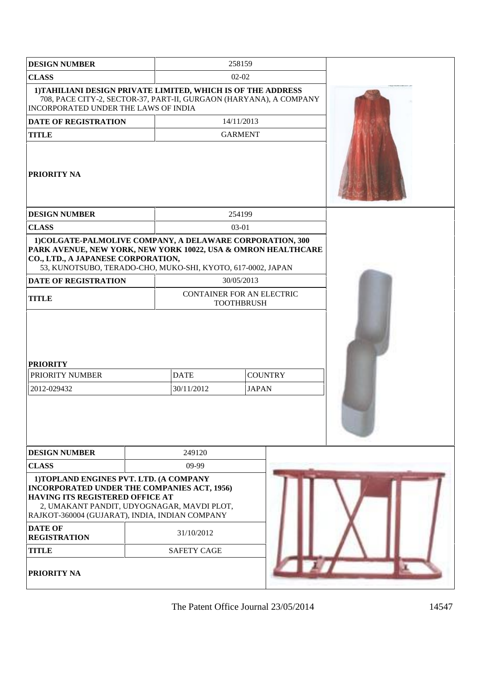| <b>DESIGN NUMBER</b>                                                                                                                                                                                                             |                           | 258159                         |  |  |
|----------------------------------------------------------------------------------------------------------------------------------------------------------------------------------------------------------------------------------|---------------------------|--------------------------------|--|--|
| <b>CLASS</b>                                                                                                                                                                                                                     | $02 - 02$                 |                                |  |  |
| 1) TAHILIANI DESIGN PRIVATE LIMITED, WHICH IS OF THE ADDRESS<br>708, PACE CITY-2, SECTOR-37, PART-II, GURGAON (HARYANA), A COMPANY<br>INCORPORATED UNDER THE LAWS OF INDIA                                                       |                           |                                |  |  |
| DATE OF REGISTRATION                                                                                                                                                                                                             | 14/11/2013                |                                |  |  |
| <b>TITLE</b>                                                                                                                                                                                                                     |                           | <b>GARMENT</b>                 |  |  |
| <b>PRIORITY NA</b>                                                                                                                                                                                                               |                           |                                |  |  |
| <b>DESIGN NUMBER</b>                                                                                                                                                                                                             |                           | 254199                         |  |  |
| <b>CLASS</b>                                                                                                                                                                                                                     |                           | 03-01                          |  |  |
| 1) COLGATE-PALMOLIVE COMPANY, A DELAWARE CORPORATION, 300<br>PARK AVENUE, NEW YORK, NEW YORK 10022, USA & OMRON HEALTHCARE<br>CO., LTD., A JAPANESE CORPORATION,<br>53, KUNOTSUBO, TERADO-CHO, MUKO-SHI, KYOTO, 617-0002, JAPAN  |                           |                                |  |  |
| <b>DATE OF REGISTRATION</b>                                                                                                                                                                                                      |                           | 30/05/2013                     |  |  |
| <b>TITLE</b>                                                                                                                                                                                                                     | CONTAINER FOR AN ELECTRIC | <b>TOOTHBRUSH</b>              |  |  |
| <b>PRIORITY</b><br>PRIORITY NUMBER<br>2012-029432                                                                                                                                                                                | <b>DATE</b><br>30/11/2012 | <b>COUNTRY</b><br><b>JAPAN</b> |  |  |
| <b>DESIGN NUMBER</b>                                                                                                                                                                                                             | 249120                    |                                |  |  |
| <b>CLASS</b>                                                                                                                                                                                                                     | 09-99                     |                                |  |  |
| 1) TOPLAND ENGINES PVT. LTD. (A COMPANY<br><b>INCORPORATED UNDER THE COMPANIES ACT, 1956)</b><br>HAVING ITS REGISTERED OFFICE AT<br>2, UMAKANT PANDIT, UDYOGNAGAR, MAVDI PLOT,<br>RAJKOT-360004 (GUJARAT), INDIA, INDIAN COMPANY |                           |                                |  |  |
| <b>DATE OF</b><br><b>REGISTRATION</b>                                                                                                                                                                                            | 31/10/2012                |                                |  |  |
| <b>TITLE</b>                                                                                                                                                                                                                     | <b>SAFETY CAGE</b>        |                                |  |  |
| <b>PRIORITY NA</b>                                                                                                                                                                                                               |                           |                                |  |  |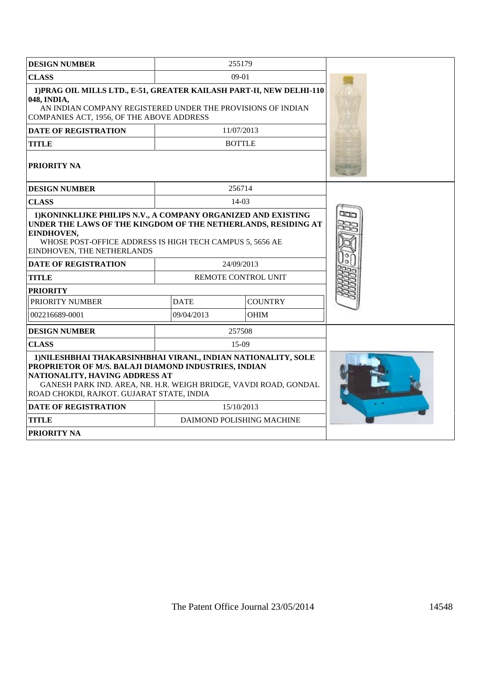| <b>DESIGN NUMBER</b>                                                                                                                                                                                                                          |             | 255179                     |  |
|-----------------------------------------------------------------------------------------------------------------------------------------------------------------------------------------------------------------------------------------------|-------------|----------------------------|--|
| <b>CLASS</b>                                                                                                                                                                                                                                  |             | $09-01$                    |  |
| 1) PRAG OIL MILLS LTD., E-51, GREATER KAILASH PART-II, NEW DELHI-110<br>048, INDIA,<br>AN INDIAN COMPANY REGISTERED UNDER THE PROVISIONS OF INDIAN<br>COMPANIES ACT, 1956, OF THE ABOVE ADDRESS                                               |             |                            |  |
| <b>DATE OF REGISTRATION</b>                                                                                                                                                                                                                   |             | 11/07/2013                 |  |
| <b>TITLE</b>                                                                                                                                                                                                                                  |             | <b>BOTTLE</b>              |  |
| <b>PRIORITY NA</b>                                                                                                                                                                                                                            |             |                            |  |
| <b>DESIGN NUMBER</b>                                                                                                                                                                                                                          |             | 256714                     |  |
| <b>CLASS</b>                                                                                                                                                                                                                                  |             | $14-03$                    |  |
| 1) KONINKLIJKE PHILIPS N.V., A COMPANY ORGANIZED AND EXISTING<br>UNDER THE LAWS OF THE KINGDOM OF THE NETHERLANDS, RESIDING AT<br>EINDHOVEN,<br>WHOSE POST-OFFICE ADDRESS IS HIGH TECH CAMPUS 5, 5656 AE<br><b>EINDHOVEN, THE NETHERLANDS</b> |             |                            |  |
| <b>DATE OF REGISTRATION</b>                                                                                                                                                                                                                   |             | 24/09/2013                 |  |
| <b>TITLE</b>                                                                                                                                                                                                                                  |             | <b>REMOTE CONTROL UNIT</b> |  |
| <b>PRIORITY</b><br>PRIORITY NUMBER                                                                                                                                                                                                            | <b>DATE</b> | <b>COUNTRY</b>             |  |
| 002216689-0001                                                                                                                                                                                                                                | 09/04/2013  | <b>OHIM</b>                |  |
|                                                                                                                                                                                                                                               |             |                            |  |
| <b>DESIGN NUMBER</b>                                                                                                                                                                                                                          |             | 257508<br>$15-09$          |  |
| <b>CLASS</b><br>1) NILESHBHAI THAKARSINHBHAI VIRANI., INDIAN NATIONALITY, SOLE                                                                                                                                                                |             |                            |  |
| PROPRIETOR OF M/S. BALAJI DIAMOND INDUSTRIES, INDIAN<br>NATIONALITY, HAVING ADDRESS AT<br>GANESH PARK IND. AREA, NR. H.R. WEIGH BRIDGE, VAVDI ROAD, GONDAL<br>ROAD CHOKDI, RAJKOT. GUJARAT STATE, INDIA                                       |             |                            |  |
| <b>DATE OF REGISTRATION</b>                                                                                                                                                                                                                   |             | 15/10/2013                 |  |
| <b>TITLE</b>                                                                                                                                                                                                                                  |             | DAIMOND POLISHING MACHINE  |  |
| <b>PRIORITY NA</b>                                                                                                                                                                                                                            |             |                            |  |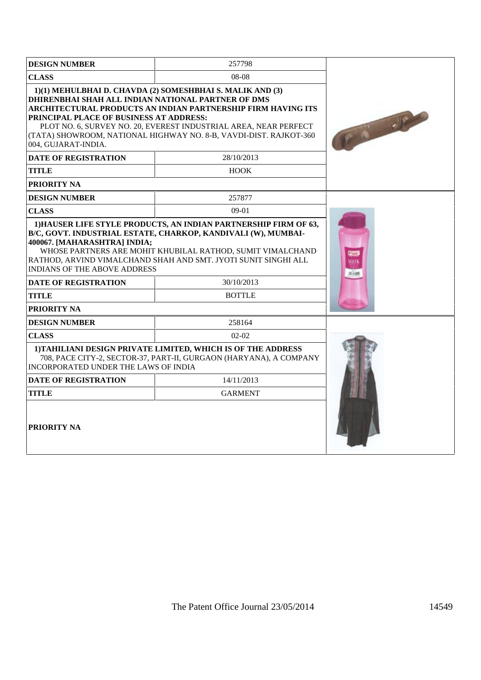| <b>DESIGN NUMBER</b>                                                                                                                                                                                                                                                                                | 257798                                                                                                                                                                                                                                                             |       |
|-----------------------------------------------------------------------------------------------------------------------------------------------------------------------------------------------------------------------------------------------------------------------------------------------------|--------------------------------------------------------------------------------------------------------------------------------------------------------------------------------------------------------------------------------------------------------------------|-------|
| <b>CLASS</b>                                                                                                                                                                                                                                                                                        |                                                                                                                                                                                                                                                                    |       |
| DHIRENBHAI SHAH ALL INDIAN NATIONAL PARTNER OF DMS<br>PRINCIPAL PLACE OF BUSINESS AT ADDRESS:<br>004. GUJARAT-INDIA.                                                                                                                                                                                | 1)(1) MEHULBHAI D. CHAVDA (2) SOMESHBHAI S. MALIK AND (3)<br>ARCHITECTURAL PRODUCTS AN INDIAN PARTNERSHIP FIRM HAVING ITS<br>PLOT NO. 6, SURVEY NO. 20, EVEREST INDUSTRIAL AREA, NEAR PERFECT<br>(TATA) SHOWROOM, NATIONAL HIGHWAY NO. 8-B, VAVDI-DIST. RAJKOT-360 | ra de |
| <b>DATE OF REGISTRATION</b>                                                                                                                                                                                                                                                                         | 28/10/2013                                                                                                                                                                                                                                                         |       |
| <b>TITLE</b>                                                                                                                                                                                                                                                                                        | <b>HOOK</b>                                                                                                                                                                                                                                                        |       |
| <b>PRIORITY NA</b>                                                                                                                                                                                                                                                                                  |                                                                                                                                                                                                                                                                    |       |
| <b>DESIGN NUMBER</b>                                                                                                                                                                                                                                                                                | 257877                                                                                                                                                                                                                                                             |       |
| <b>CLASS</b>                                                                                                                                                                                                                                                                                        | $09-01$                                                                                                                                                                                                                                                            |       |
| B/C, GOVT. INDUSTRIAL ESTATE, CHARKOP, KANDIVALI (W), MUMBAI-<br>400067. [MAHARASHTRA] INDIA;<br>WHOSE PARTNERS ARE MOHIT KHUBILAL RATHOD, SUMIT VIMALCHAND<br>RATHOD, ARVIND VIMALCHAND SHAH AND SMT. JYOTI SUNIT SINGHI ALL<br><b>INDIANS OF THE ABOVE ADDRESS</b><br><b>DATE OF REGISTRATION</b> |                                                                                                                                                                                                                                                                    |       |
| <b>TITLE</b>                                                                                                                                                                                                                                                                                        | 30/10/2013<br><b>BOTTLE</b>                                                                                                                                                                                                                                        |       |
| <b>PRIORITY NA</b>                                                                                                                                                                                                                                                                                  |                                                                                                                                                                                                                                                                    |       |
| <b>DESIGN NUMBER</b>                                                                                                                                                                                                                                                                                | 258164                                                                                                                                                                                                                                                             |       |
| <b>CLASS</b>                                                                                                                                                                                                                                                                                        | $02-02$                                                                                                                                                                                                                                                            |       |
| <b>INCORPORATED UNDER THE LAWS OF INDIA</b>                                                                                                                                                                                                                                                         | 1) TAHILIANI DESIGN PRIVATE LIMITED, WHICH IS OF THE ADDRESS<br>708, PACE CITY-2, SECTOR-37, PART-II, GURGAON (HARYANA), A COMPANY                                                                                                                                 |       |
| <b>DATE OF REGISTRATION</b>                                                                                                                                                                                                                                                                         | 14/11/2013                                                                                                                                                                                                                                                         |       |
| TITLE                                                                                                                                                                                                                                                                                               | <b>GARMENT</b>                                                                                                                                                                                                                                                     |       |
| <b>PRIORITY NA</b>                                                                                                                                                                                                                                                                                  |                                                                                                                                                                                                                                                                    |       |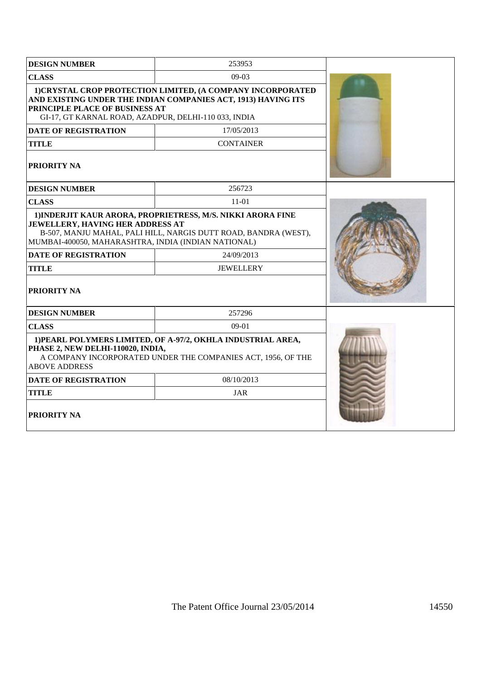| <b>DESIGN NUMBER</b>                                                                                                                                                | 253953                                                                                                                                                           |  |
|---------------------------------------------------------------------------------------------------------------------------------------------------------------------|------------------------------------------------------------------------------------------------------------------------------------------------------------------|--|
| <b>CLASS</b>                                                                                                                                                        | 09-03                                                                                                                                                            |  |
| <b>PRINCIPLE PLACE OF BUSINESS AT</b><br>GI-17, GT KARNAL ROAD, AZADPUR, DELHI-110 033, INDIA                                                                       | 1) CRYSTAL CROP PROTECTION LIMITED, (A COMPANY INCORPORATED<br>AND EXISTING UNDER THE INDIAN COMPANIES ACT, 1913) HAVING ITS                                     |  |
| <b>DATE OF REGISTRATION</b>                                                                                                                                         | 17/05/2013                                                                                                                                                       |  |
| <b>TITLE</b>                                                                                                                                                        | <b>CONTAINER</b>                                                                                                                                                 |  |
| <b>PRIORITY NA</b>                                                                                                                                                  |                                                                                                                                                                  |  |
| <b>DESIGN NUMBER</b>                                                                                                                                                | 256723                                                                                                                                                           |  |
| <b>CLASS</b>                                                                                                                                                        | 11-01                                                                                                                                                            |  |
| <b>JEWELLERY, HAVING HER ADDRESS AT</b><br>MUMBAI-400050, MAHARASHTRA, INDIA (INDIAN NATIONAL)<br><b>DATE OF REGISTRATION</b><br><b>TITLE</b><br><b>PRIORITY NA</b> | 1) INDERJIT KAUR ARORA, PROPRIETRESS, M/S. NIKKI ARORA FINE<br>B-507, MANJU MAHAL, PALI HILL, NARGIS DUTT ROAD, BANDRA (WEST),<br>24/09/2013<br><b>JEWELLERY</b> |  |
| <b>DESIGN NUMBER</b>                                                                                                                                                | 257296                                                                                                                                                           |  |
| <b>CLASS</b>                                                                                                                                                        | $09-01$                                                                                                                                                          |  |
| PHASE 2, NEW DELHI-110020, INDIA,<br><b>ABOVE ADDRESS</b>                                                                                                           | 1) PEARL POLYMERS LIMITED, OF A-97/2, OKHLA INDUSTRIAL AREA,<br>A COMPANY INCORPORATED UNDER THE COMPANIES ACT, 1956, OF THE                                     |  |
| <b>DATE OF REGISTRATION</b>                                                                                                                                         | 08/10/2013                                                                                                                                                       |  |
| <b>TITLE</b>                                                                                                                                                        | <b>JAR</b>                                                                                                                                                       |  |
| <b>PRIORITY NA</b>                                                                                                                                                  |                                                                                                                                                                  |  |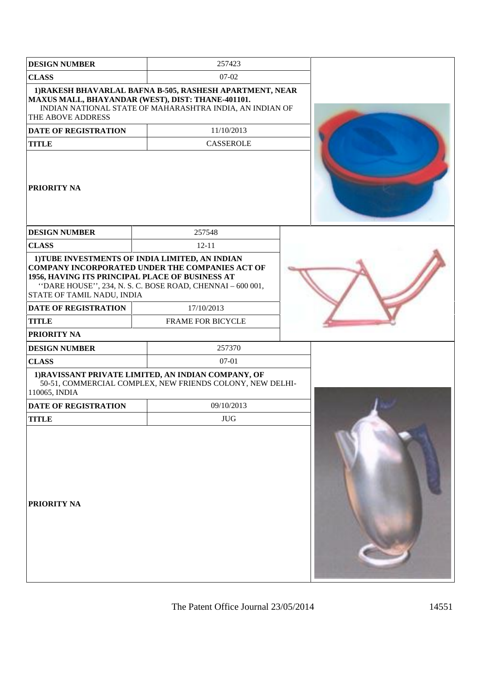| <b>DESIGN NUMBER</b>                                                                                         | 257423                                                                                                                                                                               |  |
|--------------------------------------------------------------------------------------------------------------|--------------------------------------------------------------------------------------------------------------------------------------------------------------------------------------|--|
| <b>CLASS</b>                                                                                                 | $07 - 02$                                                                                                                                                                            |  |
| THE ABOVE ADDRESS                                                                                            | 1) RAKESH BHAVARLAL BAFNA B-505, RASHESH APARTMENT, NEAR<br>MAXUS MALL, BHAYANDAR (WEST), DIST: THANE-401101.<br>INDIAN NATIONAL STATE OF MAHARASHTRA INDIA, AN INDIAN OF            |  |
| <b>DATE OF REGISTRATION</b>                                                                                  | 11/10/2013                                                                                                                                                                           |  |
| <b>TITLE</b>                                                                                                 | <b>CASSEROLE</b>                                                                                                                                                                     |  |
| <b>PRIORITY NA</b>                                                                                           |                                                                                                                                                                                      |  |
| <b>DESIGN NUMBER</b>                                                                                         | 257548                                                                                                                                                                               |  |
| <b>CLASS</b>                                                                                                 | $12 - 11$                                                                                                                                                                            |  |
| 1956, HAVING ITS PRINCIPAL PLACE OF BUSINESS AT<br>STATE OF TAMIL NADU, INDIA<br><b>DATE OF REGISTRATION</b> | 1) TUBE INVESTMENTS OF INDIA LIMITED, AN INDIAN<br><b>COMPANY INCORPORATED UNDER THE COMPANIES ACT OF</b><br>"DARE HOUSE", 234, N. S. C. BOSE ROAD, CHENNAI - 600 001,<br>17/10/2013 |  |
| <b>TITLE</b>                                                                                                 | FRAME FOR BICYCLE                                                                                                                                                                    |  |
| PRIORITY NA                                                                                                  |                                                                                                                                                                                      |  |
| <b>DESIGN NUMBER</b>                                                                                         | 257370                                                                                                                                                                               |  |
| <b>CLASS</b>                                                                                                 | 07-01                                                                                                                                                                                |  |
| 110065, INDIA                                                                                                | 1) RAVISSANT PRIVATE LIMITED, AN INDIAN COMPANY, OF<br>50-51, COMMERCIAL COMPLEX, NEW FRIENDS COLONY, NEW DELHI-                                                                     |  |
| <b>DATE OF REGISTRATION</b>                                                                                  | 09/10/2013                                                                                                                                                                           |  |
| <b>TITLE</b>                                                                                                 | <b>JUG</b>                                                                                                                                                                           |  |
| PRIORITY NA                                                                                                  |                                                                                                                                                                                      |  |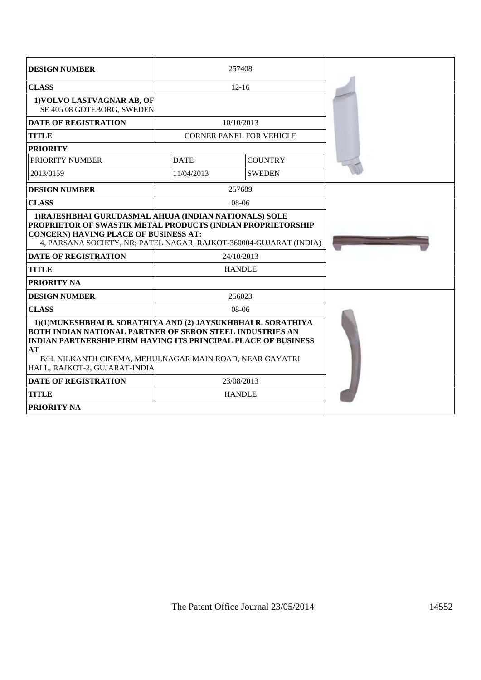| <b>DESIGN NUMBER</b>                                                                                                                                                                                                                                                                                                          |                   | 257408                          |  |
|-------------------------------------------------------------------------------------------------------------------------------------------------------------------------------------------------------------------------------------------------------------------------------------------------------------------------------|-------------------|---------------------------------|--|
| <b>CLASS</b>                                                                                                                                                                                                                                                                                                                  |                   | $12 - 16$                       |  |
| 1) VOLVO LASTVAGNAR AB, OF<br>SE 405 08 GÖTEBORG, SWEDEN                                                                                                                                                                                                                                                                      |                   |                                 |  |
| <b>DATE OF REGISTRATION</b>                                                                                                                                                                                                                                                                                                   |                   | 10/10/2013                      |  |
| <b>TITLE</b>                                                                                                                                                                                                                                                                                                                  |                   | <b>CORNER PANEL FOR VEHICLE</b> |  |
| <b>PRIORITY</b>                                                                                                                                                                                                                                                                                                               |                   |                                 |  |
| <b>PRIORITY NUMBER</b>                                                                                                                                                                                                                                                                                                        | <b>DATE</b>       | <b>COUNTRY</b>                  |  |
| 2013/0159                                                                                                                                                                                                                                                                                                                     | 11/04/2013        | <b>SWEDEN</b>                   |  |
| <b>DESIGN NUMBER</b>                                                                                                                                                                                                                                                                                                          |                   | 257689                          |  |
| <b>CLASS</b>                                                                                                                                                                                                                                                                                                                  |                   | $08-06$                         |  |
| PROPRIETOR OF SWASTIK METAL PRODUCTS (INDIAN PROPRIETORSHIP<br><b>CONCERN) HAVING PLACE OF BUSINESS AT:</b><br>4, PARSANA SOCIETY, NR; PATEL NAGAR, RAJKOT-360004-GUJARAT (INDIA)<br><b>DATE OF REGISTRATION</b><br><b>TITLE</b><br><b>PRIORITY NA</b>                                                                        |                   | 24/10/2013<br><b>HANDLE</b>     |  |
|                                                                                                                                                                                                                                                                                                                               |                   |                                 |  |
| <b>DESIGN NUMBER</b>                                                                                                                                                                                                                                                                                                          | 256023<br>$08-06$ |                                 |  |
| <b>CLASS</b><br>1)(1)MUKESHBHAI B. SORATHIYA AND (2) JAYSUKHBHAI R. SORATHIYA<br><b>BOTH INDIAN NATIONAL PARTNER OF SERON STEEL INDUSTRIES AN</b><br><b>INDIAN PARTNERSHIP FIRM HAVING ITS PRINCIPAL PLACE OF BUSINESS</b><br>AT<br>B/H. NILKANTH CINEMA, MEHULNAGAR MAIN ROAD, NEAR GAYATRI<br>HALL, RAJKOT-2, GUJARAT-INDIA |                   |                                 |  |
| <b>DATE OF REGISTRATION</b>                                                                                                                                                                                                                                                                                                   | 23/08/2013        |                                 |  |
| <b>TITLE</b>                                                                                                                                                                                                                                                                                                                  | <b>HANDLE</b>     |                                 |  |
| <b>PRIORITY NA</b>                                                                                                                                                                                                                                                                                                            |                   |                                 |  |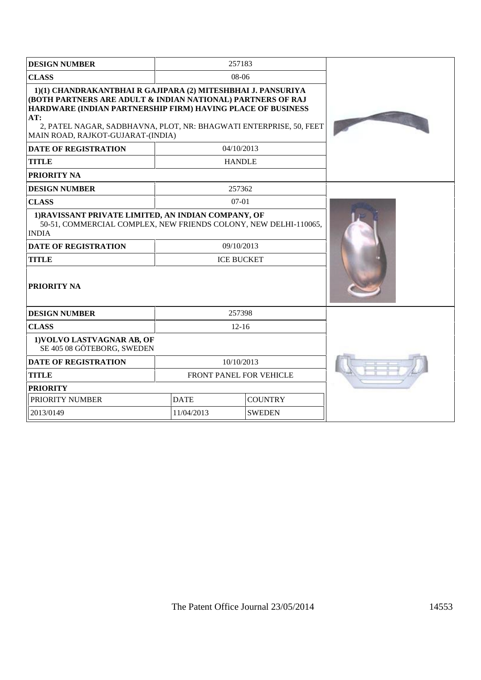| <b>DESIGN NUMBER</b>                                                                                                                                                                                                                                                                                         | 257183                        |               |  |  |
|--------------------------------------------------------------------------------------------------------------------------------------------------------------------------------------------------------------------------------------------------------------------------------------------------------------|-------------------------------|---------------|--|--|
| <b>CLASS</b>                                                                                                                                                                                                                                                                                                 | 08-06                         |               |  |  |
| 1)(1) CHANDRAKANTBHAI R GAJIPARA (2) MITESHBHAI J. PANSURIYA<br>(BOTH PARTNERS ARE ADULT & INDIAN NATIONAL) PARTNERS OF RAJ<br>HARDWARE (INDIAN PARTNERSHIP FIRM) HAVING PLACE OF BUSINESS<br>AT:<br>2, PATEL NAGAR, SADBHAVNA, PLOT, NR: BHAGWATI ENTERPRISE, 50, FEET<br>MAIN ROAD, RAJKOT-GUJARAT-(INDIA) |                               |               |  |  |
| <b>DATE OF REGISTRATION</b>                                                                                                                                                                                                                                                                                  |                               | 04/10/2013    |  |  |
| <b>TITLE</b>                                                                                                                                                                                                                                                                                                 |                               | <b>HANDLE</b> |  |  |
| <b>PRIORITY NA</b>                                                                                                                                                                                                                                                                                           |                               |               |  |  |
| <b>DESIGN NUMBER</b>                                                                                                                                                                                                                                                                                         |                               | 257362        |  |  |
| <b>CLASS</b>                                                                                                                                                                                                                                                                                                 |                               | $07-01$       |  |  |
| 1) RAVISSANT PRIVATE LIMITED, AN INDIAN COMPANY, OF<br>50-51, COMMERCIAL COMPLEX, NEW FRIENDS COLONY, NEW DELHI-110065,<br><b>INDIA</b>                                                                                                                                                                      |                               |               |  |  |
| <b>DATE OF REGISTRATION</b>                                                                                                                                                                                                                                                                                  | 09/10/2013                    |               |  |  |
| <b>TITLE</b>                                                                                                                                                                                                                                                                                                 | <b>ICE BUCKET</b>             |               |  |  |
| <b>PRIORITY NA</b>                                                                                                                                                                                                                                                                                           |                               |               |  |  |
| <b>DESIGN NUMBER</b>                                                                                                                                                                                                                                                                                         | 257398                        |               |  |  |
| <b>CLASS</b>                                                                                                                                                                                                                                                                                                 |                               | $12-16$       |  |  |
| 1) VOLVO LASTVAGNAR AB, OF<br>SE 405 08 GÖTEBORG, SWEDEN                                                                                                                                                                                                                                                     |                               |               |  |  |
| <b>DATE OF REGISTRATION</b>                                                                                                                                                                                                                                                                                  | 10/10/2013                    |               |  |  |
| <b>TITLE</b>                                                                                                                                                                                                                                                                                                 | FRONT PANEL FOR VEHICLE       |               |  |  |
| <b>PRIORITY</b>                                                                                                                                                                                                                                                                                              |                               |               |  |  |
| PRIORITY NUMBER                                                                                                                                                                                                                                                                                              | <b>DATE</b><br><b>COUNTRY</b> |               |  |  |
| 2013/0149                                                                                                                                                                                                                                                                                                    | 11/04/2013<br><b>SWEDEN</b>   |               |  |  |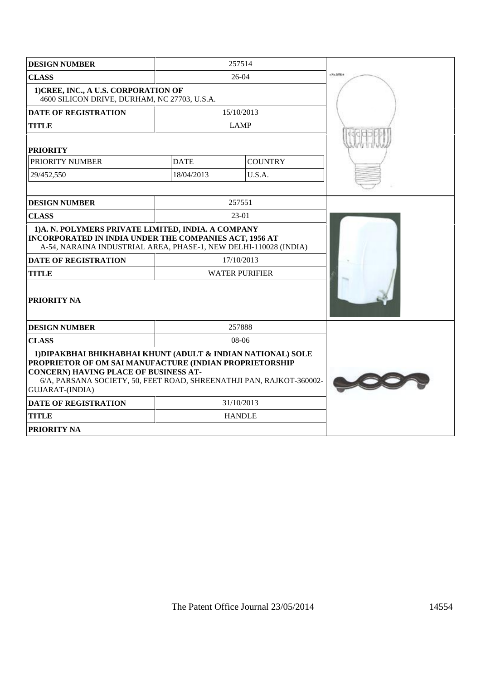| <b>DESIGN NUMBER</b>                                                                                                                                                                                                                                               |                       | 257514         |           |
|--------------------------------------------------------------------------------------------------------------------------------------------------------------------------------------------------------------------------------------------------------------------|-----------------------|----------------|-----------|
| <b>CLASS</b>                                                                                                                                                                                                                                                       |                       | $26-04$        | 17% 35914 |
| 1) CREE, INC., A U.S. CORPORATION OF<br>4600 SILICON DRIVE, DURHAM, NC 27703, U.S.A.                                                                                                                                                                               |                       |                |           |
| <b>DATE OF REGISTRATION</b>                                                                                                                                                                                                                                        |                       | 15/10/2013     |           |
| <b>TITLE</b>                                                                                                                                                                                                                                                       |                       | <b>LAMP</b>    |           |
| <b>PRIORITY</b>                                                                                                                                                                                                                                                    |                       |                |           |
| PRIORITY NUMBER                                                                                                                                                                                                                                                    | <b>DATE</b>           | <b>COUNTRY</b> |           |
| 29/452,550                                                                                                                                                                                                                                                         | 18/04/2013            | U.S.A.         |           |
|                                                                                                                                                                                                                                                                    |                       |                |           |
| <b>DESIGN NUMBER</b>                                                                                                                                                                                                                                               |                       | 257551         |           |
| <b>CLASS</b>                                                                                                                                                                                                                                                       | 23-01                 |                |           |
| 1)A. N. POLYMERS PRIVATE LIMITED, INDIA. A COMPANY<br>INCORPORATED IN INDIA UNDER THE COMPANIES ACT, 1956 AT<br>A-54, NARAINA INDUSTRIAL AREA, PHASE-1, NEW DELHI-110028 (INDIA)                                                                                   |                       |                |           |
| <b>DATE OF REGISTRATION</b>                                                                                                                                                                                                                                        |                       | 17/10/2013     |           |
| <b>TITLE</b>                                                                                                                                                                                                                                                       | <b>WATER PURIFIER</b> |                |           |
| PRIORITY NA                                                                                                                                                                                                                                                        |                       |                |           |
| <b>DESIGN NUMBER</b>                                                                                                                                                                                                                                               |                       | 257888         |           |
| <b>CLASS</b>                                                                                                                                                                                                                                                       | 08-06                 |                |           |
| 1) DIPAKBHAI BHIKHABHAI KHUNT (ADULT & INDIAN NATIONAL) SOLE<br>PROPRIETOR OF OM SAI MANUFACTURE (INDIAN PROPRIETORSHIP<br><b>CONCERN) HAVING PLACE OF BUSINESS AT-</b><br>6/A, PARSANA SOCIETY, 50, FEET ROAD, SHREENATHJI PAN, RAJKOT-360002-<br>GUJARAT-(INDIA) |                       |                |           |
| <b>DATE OF REGISTRATION</b>                                                                                                                                                                                                                                        | 31/10/2013            |                |           |
| <b>TITLE</b>                                                                                                                                                                                                                                                       | <b>HANDLE</b>         |                |           |
| PRIORITY NA                                                                                                                                                                                                                                                        |                       |                |           |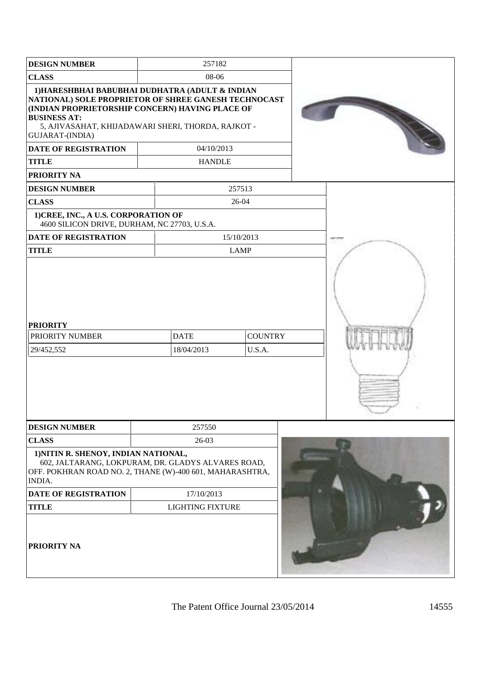| <b>DESIGN NUMBER</b>                                                                                                                                                                                                                                                                                                            |       | 257182                      |                          |  |             |
|---------------------------------------------------------------------------------------------------------------------------------------------------------------------------------------------------------------------------------------------------------------------------------------------------------------------------------|-------|-----------------------------|--------------------------|--|-------------|
| <b>CLASS</b>                                                                                                                                                                                                                                                                                                                    | 08-06 |                             |                          |  |             |
| 1) HARESHBHAI BABUBHAI DUDHATRA (ADULT & INDIAN<br>NATIONAL) SOLE PROPRIETOR OF SHREE GANESH TECHNOCAST<br>(INDIAN PROPRIETORSHIP CONCERN) HAVING PLACE OF<br><b>BUSINESS AT:</b><br>5, AJIVASAHAT, KHIJADAWARI SHERI, THORDA, RAJKOT -<br><b>GUJARAT-(INDIA)</b><br>DATE OF REGISTRATION<br><b>TITLE</b><br><b>PRIORITY NA</b> |       | 04/10/2013<br><b>HANDLE</b> |                          |  |             |
| <b>DESIGN NUMBER</b>                                                                                                                                                                                                                                                                                                            |       |                             | 257513                   |  |             |
| <b>CLASS</b>                                                                                                                                                                                                                                                                                                                    |       |                             | 26-04                    |  |             |
| 1) CREE, INC., A U.S. CORPORATION OF<br>4600 SILICON DRIVE, DURHAM, NC 27703, U.S.A.                                                                                                                                                                                                                                            |       |                             |                          |  |             |
| <b>DATE OF REGISTRATION</b>                                                                                                                                                                                                                                                                                                     |       |                             | 15/10/2013               |  | $-0.010338$ |
| <b>TITLE</b>                                                                                                                                                                                                                                                                                                                    |       |                             | <b>LAMP</b>              |  |             |
| <b>PRIORITY</b><br>PRIORITY NUMBER<br>29/452,552                                                                                                                                                                                                                                                                                |       | <b>DATE</b><br>18/04/2013   | <b>COUNTRY</b><br>U.S.A. |  |             |
| <b>DESIGN NUMBER</b>                                                                                                                                                                                                                                                                                                            |       | 257550                      |                          |  |             |
| <b>CLASS</b><br>1) NITIN R. SHENOY, INDIAN NATIONAL,<br>602, JALTARANG, LOKPURAM, DR. GLADYS ALVARES ROAD,<br>OFF. POKHRAN ROAD NO. 2, THANE (W)-400 601, MAHARASHTRA,<br>INDIA.                                                                                                                                                |       | 26-03                       |                          |  |             |
| DATE OF REGISTRATION                                                                                                                                                                                                                                                                                                            |       | 17/10/2013                  |                          |  |             |
| <b>TITLE</b>                                                                                                                                                                                                                                                                                                                    |       | <b>LIGHTING FIXTURE</b>     |                          |  |             |
| <b>PRIORITY NA</b>                                                                                                                                                                                                                                                                                                              |       |                             |                          |  |             |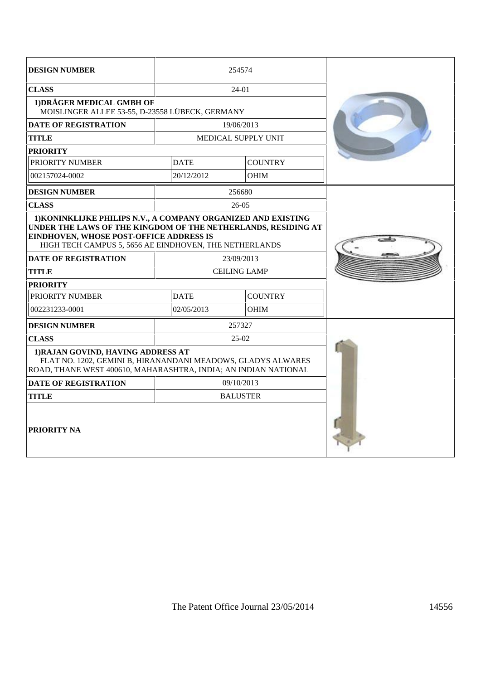| <b>DESIGN NUMBER</b>                                                                                                                                                                                                                                                      |                                   | 254574                     |  |
|---------------------------------------------------------------------------------------------------------------------------------------------------------------------------------------------------------------------------------------------------------------------------|-----------------------------------|----------------------------|--|
| <b>CLASS</b>                                                                                                                                                                                                                                                              |                                   | 24-01                      |  |
| 1) DRÄGER MEDICAL GMBH OF<br>MOISLINGER ALLEE 53-55, D-23558 LÜBECK, GERMANY                                                                                                                                                                                              |                                   |                            |  |
| <b>DATE OF REGISTRATION</b>                                                                                                                                                                                                                                               |                                   | 19/06/2013                 |  |
| <b>TITLE</b>                                                                                                                                                                                                                                                              |                                   | <b>MEDICAL SUPPLY UNIT</b> |  |
| <b>PRIORITY</b>                                                                                                                                                                                                                                                           |                                   |                            |  |
| PRIORITY NUMBER                                                                                                                                                                                                                                                           | <b>DATE</b>                       | <b>COUNTRY</b>             |  |
| 002157024-0002                                                                                                                                                                                                                                                            | 20/12/2012                        | <b>OHIM</b>                |  |
| <b>DESIGN NUMBER</b>                                                                                                                                                                                                                                                      |                                   | 256680                     |  |
| <b>CLASS</b>                                                                                                                                                                                                                                                              |                                   | $26-05$                    |  |
| 1) KONINKLIJKE PHILIPS N.V., A COMPANY ORGANIZED AND EXISTING<br>UNDER THE LAWS OF THE KINGDOM OF THE NETHERLANDS, RESIDING AT<br><b>EINDHOVEN, WHOSE POST-OFFICE ADDRESS IS</b><br>HIGH TECH CAMPUS 5, 5656 AE EINDHOVEN, THE NETHERLANDS<br><b>DATE OF REGISTRATION</b> |                                   |                            |  |
| <b>TITLE</b>                                                                                                                                                                                                                                                              | 23/09/2013<br><b>CEILING LAMP</b> |                            |  |
| <b>PRIORITY</b>                                                                                                                                                                                                                                                           |                                   |                            |  |
| PRIORITY NUMBER                                                                                                                                                                                                                                                           | <b>COUNTRY</b><br><b>DATE</b>     |                            |  |
| 002231233-0001                                                                                                                                                                                                                                                            | 02/05/2013                        | OHIM                       |  |
| <b>DESIGN NUMBER</b>                                                                                                                                                                                                                                                      | 257327                            |                            |  |
| <b>CLASS</b>                                                                                                                                                                                                                                                              |                                   | $25-02$                    |  |
| 1) RAJAN GOVIND, HAVING ADDRESS AT<br>FLAT NO. 1202, GEMINI B, HIRANANDANI MEADOWS, GLADYS ALWARES<br>ROAD, THANE WEST 400610, MAHARASHTRA, INDIA; AN INDIAN NATIONAL                                                                                                     |                                   |                            |  |
| <b>DATE OF REGISTRATION</b>                                                                                                                                                                                                                                               | 09/10/2013                        |                            |  |
| <b>TITLE</b>                                                                                                                                                                                                                                                              | <b>BALUSTER</b>                   |                            |  |
| <b>PRIORITY NA</b>                                                                                                                                                                                                                                                        |                                   |                            |  |